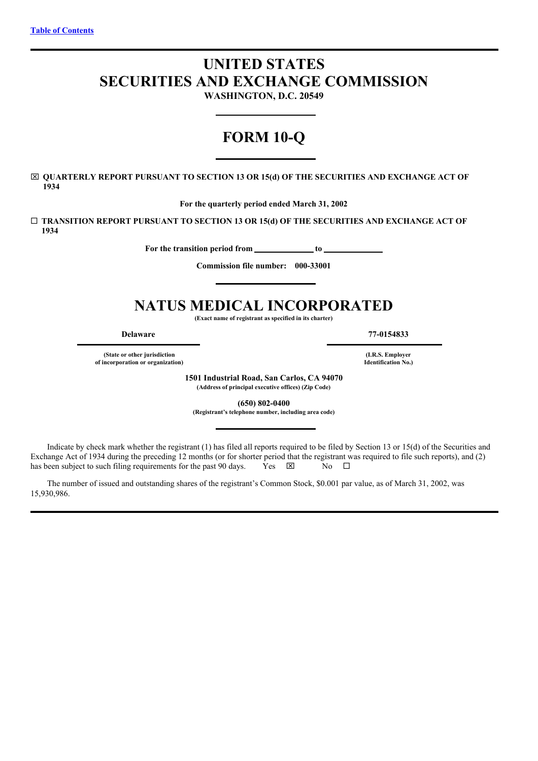# <span id="page-0-0"></span>**UNITED STATES SECURITIES AND EXCHANGE COMMISSION WASHINGTON, D.C. 20549**

# **FORM 10-Q**

x **QUARTERLY REPORT PURSUANT TO SECTION 13 OR 15(d) OF THE SECURITIES AND EXCHANGE ACT OF 1934**

**For the quarterly period ended March 31, 2002**

¨ **TRANSITION REPORT PURSUANT TO SECTION 13 OR 15(d) OF THE SECURITIES AND EXCHANGE ACT OF 1934**

**For the transition period from to**

**Commission file number: 000-33001**

# **NATUS MEDICAL INCORPORATED**

**(Exact name of registrant as specified in its charter)**

**(State or other jurisdiction of incorporation or organization)**

**Delaware 77-0154833**

**(I.R.S. Employer Identification No.)**

**1501 Industrial Road, San Carlos, CA 94070**

**(Address of principal executive offices) (Zip Code)**

**(650) 802-0400**

**(Registrant's telephone number, including area code)**

Indicate by check mark whether the registrant (1) has filed all reports required to be filed by Section 13 or 15(d) of the Securities and Exchange Act of 1934 during the preceding 12 months (or for shorter period that the registrant was required to file such reports), and (2) has been subject to such filing requirements for the past 90 days. Yes  $\boxtimes$  No  $\Box$ 

The number of issued and outstanding shares of the registrant's Common Stock, \$0.001 par value, as of March 31, 2002, was 15,930,986.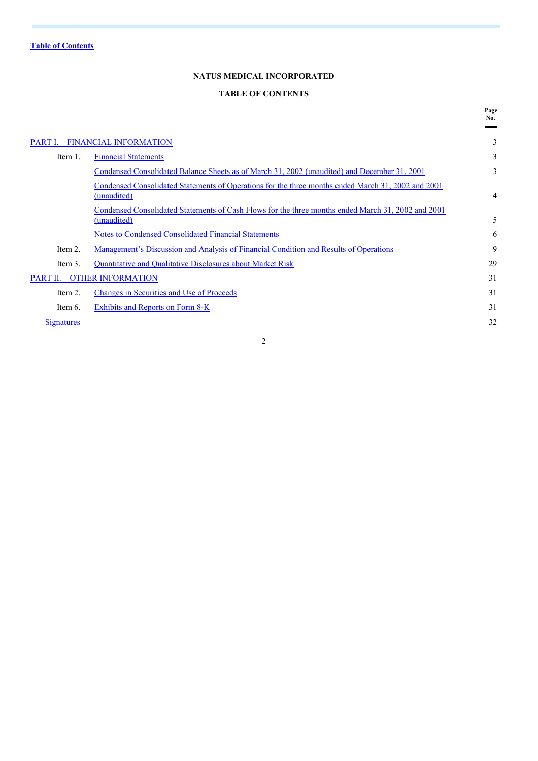# **NATUS MEDICAL INCORPORATED**

## **TABLE OF CONTENTS**

**Page**

|                   |                                                                                                                   | No. |
|-------------------|-------------------------------------------------------------------------------------------------------------------|-----|
| PART I.           | <b>FINANCIAL INFORMATION</b>                                                                                      | 3   |
| Item 1.           | <b>Financial Statements</b>                                                                                       | 3   |
|                   | Condensed Consolidated Balance Sheets as of March 31, 2002 (unaudited) and December 31, 2001                      | 3   |
|                   | Condensed Consolidated Statements of Operations for the three months ended March 31, 2002 and 2001<br>(unaudited) | 4   |
|                   | Condensed Consolidated Statements of Cash Flows for the three months ended March 31, 2002 and 2001<br>(unaudited) | 5   |
|                   | Notes to Condensed Consolidated Financial Statements                                                              | 6   |
| Item 2.           | Management's Discussion and Analysis of Financial Condition and Results of Operations                             | 9   |
| Item 3.           | Quantitative and Qualitative Disclosures about Market Risk                                                        | 29  |
| PART II.          | <b>OTHER INFORMATION</b>                                                                                          | 31  |
| Item 2.           | Changes in Securities and Use of Proceeds                                                                         | 31  |
| Item 6.           | Exhibits and Reports on Form 8-K                                                                                  | 31  |
| <b>Signatures</b> |                                                                                                                   | 32  |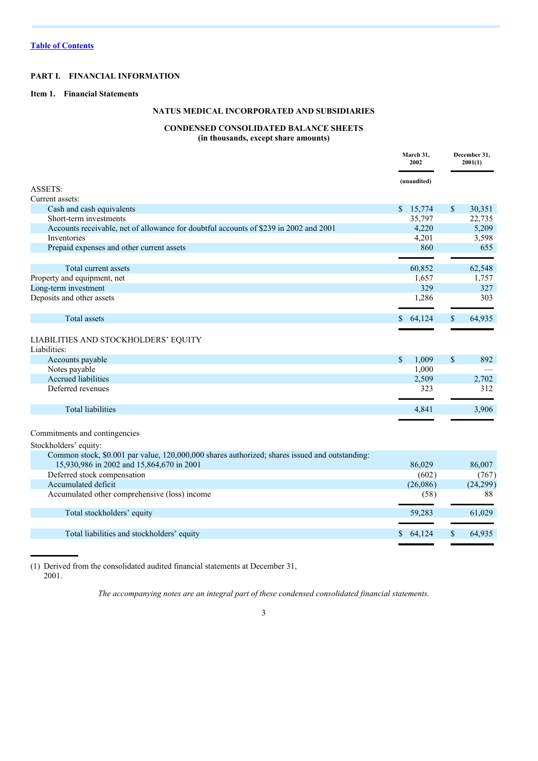## **PART I. FINANCIAL INFORMATION**

## **Item 1. Financial Statements**

## **NATUS MEDICAL INCORPORATED AND SUBSIDIARIES**

# **CONDENSED CONSOLIDATED BALANCE SHEETS**

**(in thousands, except share amounts)**

|                                                                                                | March 31,<br>2002 |             | December 31,<br>2001(1) |          |
|------------------------------------------------------------------------------------------------|-------------------|-------------|-------------------------|----------|
|                                                                                                |                   | (unaudited) |                         |          |
| <b>ASSETS:</b>                                                                                 |                   |             |                         |          |
| Current assets:                                                                                |                   |             |                         |          |
| Cash and cash equivalents                                                                      | \$                | 15,774      | \$                      | 30.351   |
| Short-term investments                                                                         |                   | 35,797      |                         | 22,735   |
| Accounts receivable, net of allowance for doubtful accounts of \$239 in 2002 and 2001          |                   | 4,220       |                         | 5,209    |
| Inventories                                                                                    |                   | 4,201       |                         | 3,598    |
| Prepaid expenses and other current assets                                                      |                   | 860         |                         | 655      |
| Total current assets                                                                           |                   | 60,852      |                         | 62,548   |
| Property and equipment, net                                                                    |                   | 1,657       |                         | 1,757    |
| Long-term investment                                                                           |                   | 329         |                         | 327      |
|                                                                                                |                   |             |                         |          |
| Deposits and other assets                                                                      |                   | 1,286       |                         | 303      |
| <b>Total assets</b>                                                                            |                   | \$64,124    | \$                      | 64,935   |
| LIABILITIES AND STOCKHOLDERS' EQUITY                                                           |                   |             |                         |          |
| Liabilities:                                                                                   |                   |             |                         |          |
| Accounts payable                                                                               | $\mathbb{S}$      | 1,009       | \$                      | 892      |
| Notes payable                                                                                  |                   | 1,000       |                         |          |
| <b>Accrued liabilities</b>                                                                     |                   | 2,509       |                         | 2,702    |
| Deferred revenues                                                                              |                   | 323         |                         | 312      |
| <b>Total liabilities</b>                                                                       |                   | 4,841       |                         | 3,906    |
|                                                                                                |                   |             |                         |          |
| Commitments and contingencies                                                                  |                   |             |                         |          |
| Stockholders' equity:                                                                          |                   |             |                         |          |
| Common stock, \$0.001 par value, 120,000,000 shares authorized; shares issued and outstanding: |                   |             |                         |          |
| 15,930,986 in 2002 and 15,864,670 in 2001                                                      |                   | 86,029      |                         | 86,007   |
| Deferred stock compensation                                                                    |                   | (602)       |                         | (767)    |
| Accumulated deficit                                                                            |                   | (26,086)    |                         | (24,299) |
| Accumulated other comprehensive (loss) income                                                  |                   | (58)        |                         | 88       |
| Total stockholders' equity                                                                     |                   | 59,283      |                         | 61,029   |
| Total liabilities and stockholders' equity                                                     |                   | \$64,124    | \$                      | 64,935   |
|                                                                                                |                   |             |                         |          |

(1) Derived from the consolidated audited financial statements at December 31, 2001.

*The accompanying notes are an integral part of these condensed consolidated financial statements.*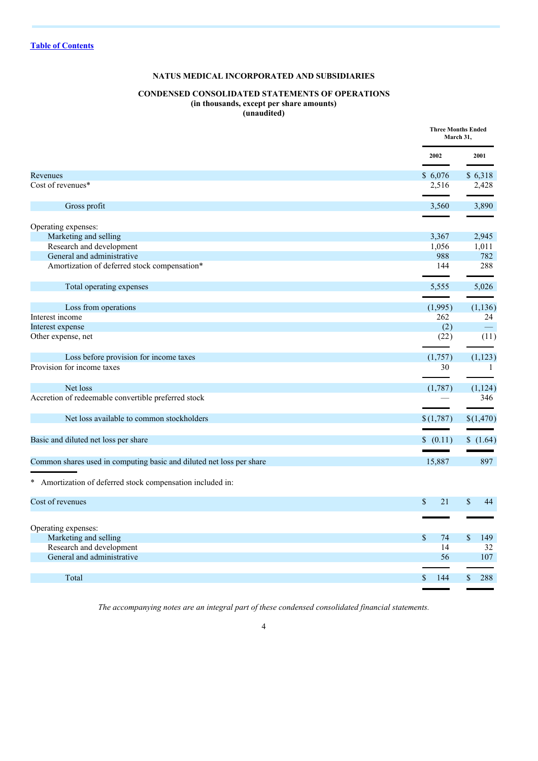# **NATUS MEDICAL INCORPORATED AND SUBSIDIARIES**

# **CONDENSED CONSOLIDATED STATEMENTS OF OPERATIONS (in thousands, except per share amounts)**

**(unaudited)**

|                                                                      | <b>Three Months Ended</b><br>March 31, |           |
|----------------------------------------------------------------------|----------------------------------------|-----------|
|                                                                      | 2002                                   | 2001      |
| Revenues                                                             | \$6,076                                | \$6,318   |
| Cost of revenues*                                                    | 2,516                                  | 2,428     |
| Gross profit                                                         | 3,560                                  | 3,890     |
| Operating expenses:                                                  |                                        |           |
| Marketing and selling                                                | 3,367                                  | 2,945     |
| Research and development                                             | 1,056                                  | 1,011     |
| General and administrative                                           | 988                                    | 782       |
| Amortization of deferred stock compensation*                         | 144                                    | 288       |
| Total operating expenses                                             | 5,555                                  | 5,026     |
|                                                                      |                                        |           |
| Loss from operations                                                 | (1,995)                                | (1,136)   |
| Interest income                                                      | 262                                    | 24        |
| Interest expense                                                     | (2)                                    | $\equiv$  |
| Other expense, net                                                   | (22)                                   | (11)      |
| Loss before provision for income taxes                               | (1,757)                                | (1,123)   |
| Provision for income taxes                                           | 30                                     | -1        |
| Net loss                                                             | (1,787)                                | (1, 124)  |
| Accretion of redeemable convertible preferred stock                  |                                        | 346       |
|                                                                      |                                        |           |
| Net loss available to common stockholders                            | \$(1,787)                              | \$(1,470) |
| Basic and diluted net loss per share                                 | \$ (0.11)                              | \$(1.64)  |
|                                                                      |                                        |           |
| Common shares used in computing basic and diluted net loss per share | 15,887                                 | 897       |
| * Amortization of deferred stock compensation included in:           |                                        |           |
| Cost of revenues                                                     | \$<br>21                               | \$<br>44  |
|                                                                      |                                        |           |
| Operating expenses:                                                  |                                        |           |
| Marketing and selling                                                | \$<br>74                               | \$<br>149 |
| Research and development                                             | 14                                     | 32        |
| General and administrative                                           | 56                                     | 107       |
|                                                                      |                                        |           |
| Total                                                                | 144<br>\$                              | 288<br>\$ |
|                                                                      |                                        |           |

*The accompanying notes are an integral part of these condensed consolidated financial statements.*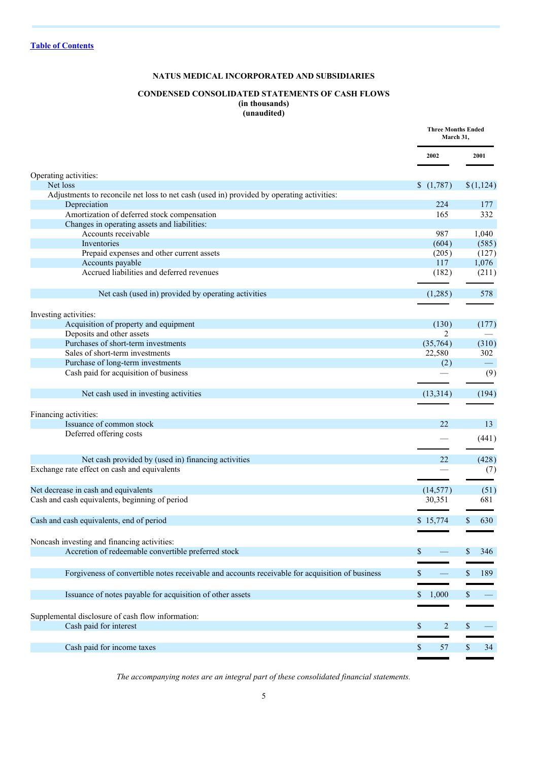# **NATUS MEDICAL INCORPORATED AND SUBSIDIARIES**

# **CONDENSED CONSOLIDATED STATEMENTS OF CASH FLOWS (in thousands)**

**(unaudited)**

|                                                                                                 | <b>Three Months Ended</b><br>March 31, |                    |
|-------------------------------------------------------------------------------------------------|----------------------------------------|--------------------|
|                                                                                                 | 2002                                   | 2001               |
| Operating activities:                                                                           |                                        |                    |
| Net loss                                                                                        | (1,787)                                | \$(1,124)          |
| Adjustments to reconcile net loss to net cash (used in) provided by operating activities:       |                                        |                    |
| Depreciation                                                                                    | 224                                    | 177                |
| Amortization of deferred stock compensation                                                     | 165                                    | 332                |
| Changes in operating assets and liabilities:                                                    |                                        |                    |
| Accounts receivable                                                                             | 987                                    | 1,040              |
| Inventories                                                                                     | (604)                                  | (585)              |
| Prepaid expenses and other current assets                                                       | (205)                                  | (127)              |
| Accounts payable                                                                                | 117                                    | 1,076              |
| Accrued liabilities and deferred revenues                                                       | (182)                                  | (211)              |
| Net cash (used in) provided by operating activities                                             | (1,285)                                | 578                |
| Investing activities:                                                                           |                                        |                    |
| Acquisition of property and equipment                                                           | (130)                                  | (177)              |
| Deposits and other assets                                                                       | 2                                      |                    |
| Purchases of short-term investments                                                             | (35,764)                               | (310)              |
| Sales of short-term investments                                                                 | 22,580                                 | 302                |
| Purchase of long-term investments                                                               | (2)                                    |                    |
| Cash paid for acquisition of business                                                           |                                        | (9)                |
|                                                                                                 |                                        |                    |
| Net cash used in investing activities                                                           | (13, 314)                              | (194)              |
| Financing activities:                                                                           |                                        |                    |
| Issuance of common stock                                                                        | 22                                     | 13                 |
| Deferred offering costs                                                                         |                                        |                    |
|                                                                                                 |                                        | (441)              |
| Net cash provided by (used in) financing activities                                             | 22                                     | (428)              |
| Exchange rate effect on cash and equivalents                                                    |                                        | (7)                |
|                                                                                                 |                                        |                    |
| Net decrease in cash and equivalents                                                            | (14, 577)                              | (51)               |
| Cash and cash equivalents, beginning of period                                                  | 30,351                                 | 681                |
|                                                                                                 |                                        |                    |
| Cash and cash equivalents, end of period                                                        | \$15,774                               | \$.<br>630         |
|                                                                                                 |                                        |                    |
| Noncash investing and financing activities:                                                     |                                        |                    |
| Accretion of redeemable convertible preferred stock                                             | \$                                     | 346<br>S.          |
|                                                                                                 |                                        |                    |
| Forgiveness of convertible notes receivable and accounts receivable for acquisition of business | \$                                     | \$<br>189          |
|                                                                                                 |                                        |                    |
| Issuance of notes payable for acquisition of other assets                                       | 1,000<br>\$                            | S                  |
|                                                                                                 |                                        |                    |
| Supplemental disclosure of cash flow information:                                               |                                        |                    |
| Cash paid for interest                                                                          | $\overline{2}$<br>\$                   | \$                 |
|                                                                                                 |                                        |                    |
| Cash paid for income taxes                                                                      | \$<br>57                               | $\mathbb{S}$<br>34 |
|                                                                                                 |                                        |                    |

*The accompanying notes are an integral part of these consolidated financial statements.*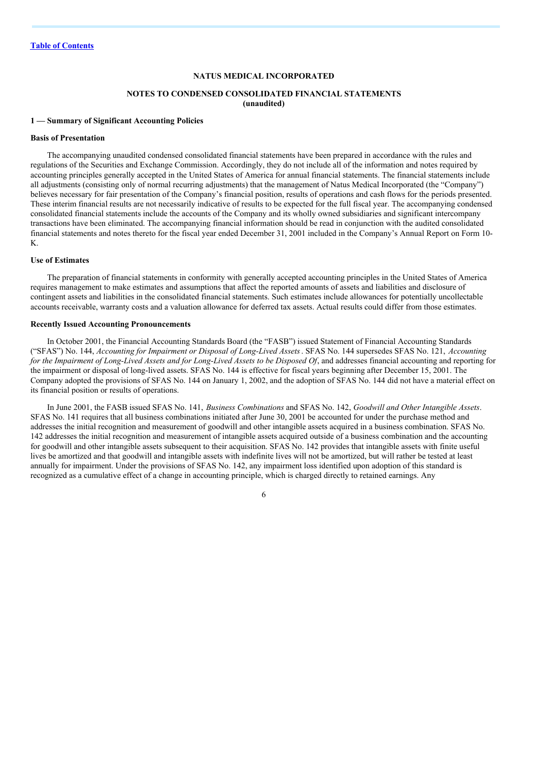## **NATUS MEDICAL INCORPORATED**

#### **NOTES TO CONDENSED CONSOLIDATED FINANCIAL STATEMENTS (unaudited)**

#### **1 — Summary of Significant Accounting Policies**

#### **Basis of Presentation**

The accompanying unaudited condensed consolidated financial statements have been prepared in accordance with the rules and regulations of the Securities and Exchange Commission. Accordingly, they do not include all of the information and notes required by accounting principles generally accepted in the United States of America for annual financial statements. The financial statements include all adjustments (consisting only of normal recurring adjustments) that the management of Natus Medical Incorporated (the "Company") believes necessary for fair presentation of the Company's financial position, results of operations and cash flows for the periods presented. These interim financial results are not necessarily indicative of results to be expected for the full fiscal year. The accompanying condensed consolidated financial statements include the accounts of the Company and its wholly owned subsidiaries and significant intercompany transactions have been eliminated. The accompanying financial information should be read in conjunction with the audited consolidated financial statements and notes thereto for the fiscal year ended December 31, 2001 included in the Company's Annual Report on Form 10- K.

#### **Use of Estimates**

The preparation of financial statements in conformity with generally accepted accounting principles in the United States of America requires management to make estimates and assumptions that affect the reported amounts of assets and liabilities and disclosure of contingent assets and liabilities in the consolidated financial statements. Such estimates include allowances for potentially uncollectable accounts receivable, warranty costs and a valuation allowance for deferred tax assets. Actual results could differ from those estimates.

#### **Recently Issued Accounting Pronouncements**

In October 2001, the Financial Accounting Standards Board (the "FASB") issued Statement of Financial Accounting Standards ("SFAS") No. 144, *Accounting for Impairment or Disposal of Long-Lived Assets*. SFAS No. 144 supersedes SFAS No. 121, *Accounting* for the Impairment of Long-Lived Assets and for Long-Lived Assets to be Disposed Of, and addresses financial accounting and reporting for the impairment or disposal of long-lived assets. SFAS No. 144 is effective for fiscal years beginning after December 15, 2001. The Company adopted the provisions of SFAS No. 144 on January 1, 2002, and the adoption of SFAS No. 144 did not have a material effect on its financial position or results of operations.

In June 2001, the FASB issued SFAS No. 141, *Business Combinations* and SFAS No. 142, *Goodwill and Other Intangible Assets*. SFAS No. 141 requires that all business combinations initiated after June 30, 2001 be accounted for under the purchase method and addresses the initial recognition and measurement of goodwill and other intangible assets acquired in a business combination. SFAS No. 142 addresses the initial recognition and measurement of intangible assets acquired outside of a business combination and the accounting for goodwill and other intangible assets subsequent to their acquisition. SFAS No. 142 provides that intangible assets with finite useful lives be amortized and that goodwill and intangible assets with indefinite lives will not be amortized, but will rather be tested at least annually for impairment. Under the provisions of SFAS No. 142, any impairment loss identified upon adoption of this standard is recognized as a cumulative effect of a change in accounting principle, which is charged directly to retained earnings. Any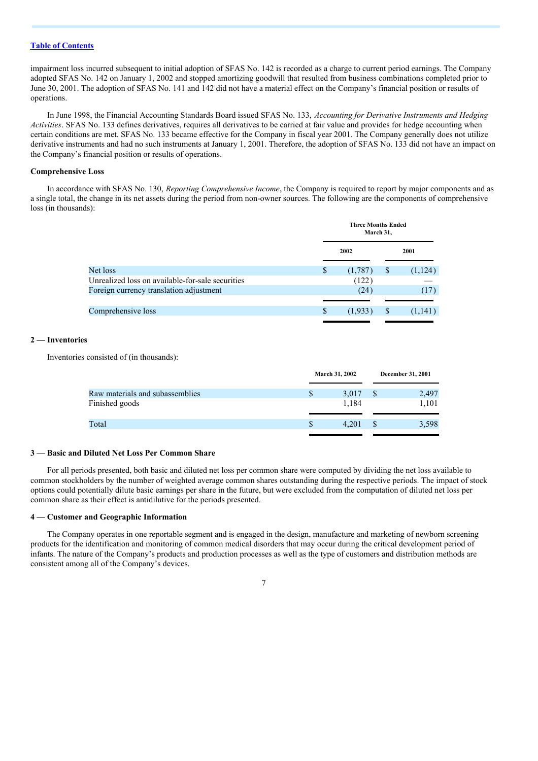impairment loss incurred subsequent to initial adoption of SFAS No. 142 is recorded as a charge to current period earnings. The Company adopted SFAS No. 142 on January 1, 2002 and stopped amortizing goodwill that resulted from business combinations completed prior to June 30, 2001. The adoption of SFAS No. 141 and 142 did not have a material effect on the Company's financial position or results of operations.

In June 1998, the Financial Accounting Standards Board issued SFAS No. 133, *Accounting for Derivative Instruments and Hedging Activities*. SFAS No. 133 defines derivatives, requires all derivatives to be carried at fair value and provides for hedge accounting when certain conditions are met. SFAS No. 133 became effective for the Company in fiscal year 2001. The Company generally does not utilize derivative instruments and had no such instruments at January 1, 2001. Therefore, the adoption of SFAS No. 133 did not have an impact on the Company's financial position or results of operations.

#### **Comprehensive Loss**

In accordance with SFAS No. 130, *Reporting Comprehensive Income*, the Company is required to report by major components and as a single total, the change in its net assets during the period from non-owner sources. The following are the components of comprehensive loss (in thousands):

|                                                  | <b>Three Months Ended</b><br>March 31, |         |   |          |
|--------------------------------------------------|----------------------------------------|---------|---|----------|
|                                                  |                                        | 2002    |   | 2001     |
| Net loss                                         | \$                                     | (1,787) | S | (1, 124) |
| Unrealized loss on available-for-sale securities |                                        | (122)   |   |          |
| Foreign currency translation adjustment          |                                        | (24)    |   | (17)     |
|                                                  |                                        |         |   |          |
| Comprehensive loss                               | \$                                     | (1,933) | S | (1,141)  |
|                                                  |                                        |         |   |          |

## **2 — Inventories**

Inventories consisted of (in thousands):

|                                 |   | <b>March 31, 2002</b> | December 31, 2001 |
|---------------------------------|---|-----------------------|-------------------|
| Raw materials and subassemblies | S | 3.017                 | 2,497             |
| Finished goods                  |   | 1.184                 | 1,101             |
|                                 |   |                       |                   |
| Total                           |   | 4.201                 | 3,598             |
|                                 |   |                       |                   |

#### **3 — Basic and Diluted Net Loss Per Common Share**

For all periods presented, both basic and diluted net loss per common share were computed by dividing the net loss available to common stockholders by the number of weighted average common shares outstanding during the respective periods. The impact of stock options could potentially dilute basic earnings per share in the future, but were excluded from the computation of diluted net loss per common share as their effect is antidilutive for the periods presented.

#### **4 — Customer and Geographic Information**

The Company operates in one reportable segment and is engaged in the design, manufacture and marketing of newborn screening products for the identification and monitoring of common medical disorders that may occur during the critical development period of infants. The nature of the Company's products and production processes as well as the type of customers and distribution methods are consistent among all of the Company's devices.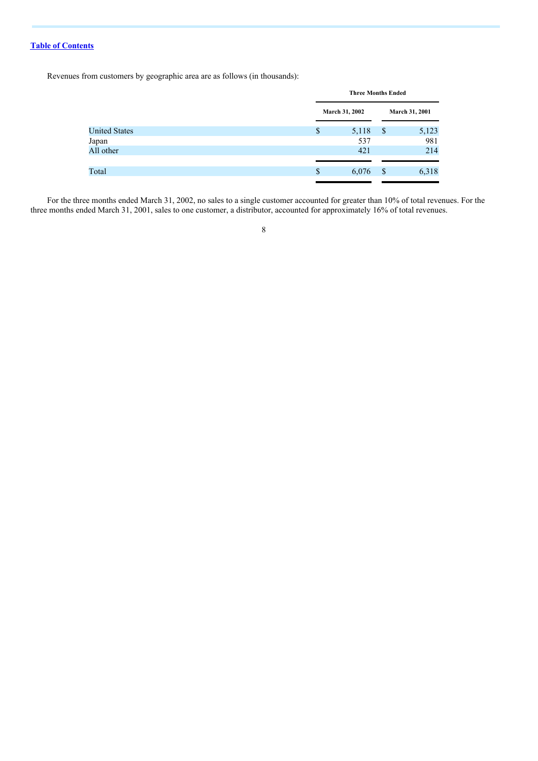Revenues from customers by geographic area are as follows (in thousands):

|                      | <b>Three Months Ended</b> |    |                |  |
|----------------------|---------------------------|----|----------------|--|
|                      | March 31, 2002            |    | March 31, 2001 |  |
| <b>United States</b> | \$<br>5,118               | \$ | 5,123          |  |
| Japan                | 537                       |    | 981            |  |
| All other            | 421                       |    | 214            |  |
|                      |                           |    |                |  |
| Total                | \$<br>6,076               | S  | 6,318          |  |
|                      |                           |    |                |  |

For the three months ended March 31, 2002, no sales to a single customer accounted for greater than 10% of total revenues. For the three months ended March 31, 2001, sales to one customer, a distributor, accounted for approximately 16% of total revenues.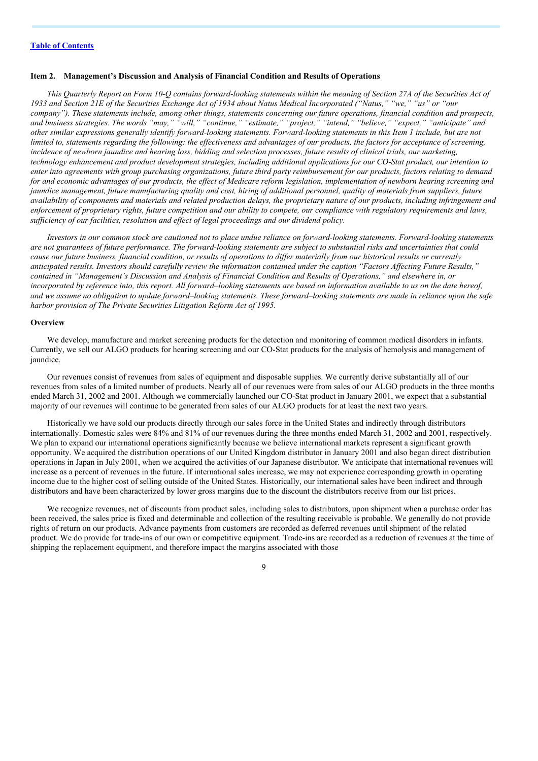## **Item 2. Management's Discussion and Analysis of Financial Condition and Results of Operations**

This Quarterly Report on Form 10-Q contains forward-looking statements within the meaning of Section 27A of the Securities Act of 1933 and Section 21E of the Securities Exchange Act of 1934 about Natus Medical Incorporated ("Natus," "we," "us" or "our company"). These statements include, among other things, statements concerning our future operations, financial condition and prospects, and business strategies. The words "may," "will," "continue," "estimate," "project," "intend," "believe," "expect," "anticipate" and other similar expressions generally identify forward-looking statements. Forward-looking statements in this Item 1 include, but are not limited to, statements regarding the following: the effectiveness and advantages of our products, the factors for acceptance of screening, incidence of newborn jaundice and hearing loss, bidding and selection processes, future results of clinical trials, our marketing, technology enhancement and product development strategies, including additional applications for our CO-Stat product, our intention to enter into agreements with group purchasing organizations, future third party reimbursement for our products, factors relating to demand for and economic advantages of our products, the effect of Medicare reform legislation, implementation of newborn hearing screening and jaundice management, future manufacturing quality and cost, hiring of additional personnel, quality of materials from suppliers, future availability of components and materials and related production delays, the proprietary nature of our products, including infringement and enforcement of proprietary rights, future competition and our ability to compete, our compliance with regulatory requirements and laws, *suf iciency of our facilities, resolution and ef ect of legal proceedings and our dividend policy.*

Investors in our common stock are cautioned not to place undue reliance on forward-looking statements. Forward-looking statements are not guarantees of future performance. The forward-looking statements are subject to substantial risks and uncertainties that could cause our future business, financial condition, or results of operations to differ materially from our historical results or currently anticipated results. Investors should carefully review the information contained under the caption "Factors Affecting Future Results." contained in "Management's Discussion and Analysis of Financial Condition and Results of Operations," and elsewhere in, or incorporated by reference into, this report. All forward-looking statements are based on information available to us on the date hereof, and we assume no obligation to update forward-looking statements. These forward-looking statements are made in reliance upon the safe *harbor provision of The Private Securities Litigation Reform Act of 1995.*

#### **Overview**

We develop, manufacture and market screening products for the detection and monitoring of common medical disorders in infants. Currently, we sell our ALGO products for hearing screening and our CO-Stat products for the analysis of hemolysis and management of jaundice.

Our revenues consist of revenues from sales of equipment and disposable supplies. We currently derive substantially all of our revenues from sales of a limited number of products. Nearly all of our revenues were from sales of our ALGO products in the three months ended March 31, 2002 and 2001. Although we commercially launched our CO-Stat product in January 2001, we expect that a substantial majority of our revenues will continue to be generated from sales of our ALGO products for at least the next two years.

Historically we have sold our products directly through our sales force in the United States and indirectly through distributors internationally. Domestic sales were 84% and 81% of our revenues during the three months ended March 31, 2002 and 2001, respectively. We plan to expand our international operations significantly because we believe international markets represent a significant growth opportunity. We acquired the distribution operations of our United Kingdom distributor in January 2001 and also began direct distribution operations in Japan in July 2001, when we acquired the activities of our Japanese distributor. We anticipate that international revenues will increase as a percent of revenues in the future. If international sales increase, we may not experience corresponding growth in operating income due to the higher cost of selling outside of the United States. Historically, our international sales have been indirect and through distributors and have been characterized by lower gross margins due to the discount the distributors receive from our list prices.

We recognize revenues, net of discounts from product sales, including sales to distributors, upon shipment when a purchase order has been received, the sales price is fixed and determinable and collection of the resulting receivable is probable. We generally do not provide rights of return on our products. Advance payments from customers are recorded as deferred revenues until shipment of the related product. We do provide for trade-ins of our own or competitive equipment. Trade-ins are recorded as a reduction of revenues at the time of shipping the replacement equipment, and therefore impact the margins associated with those

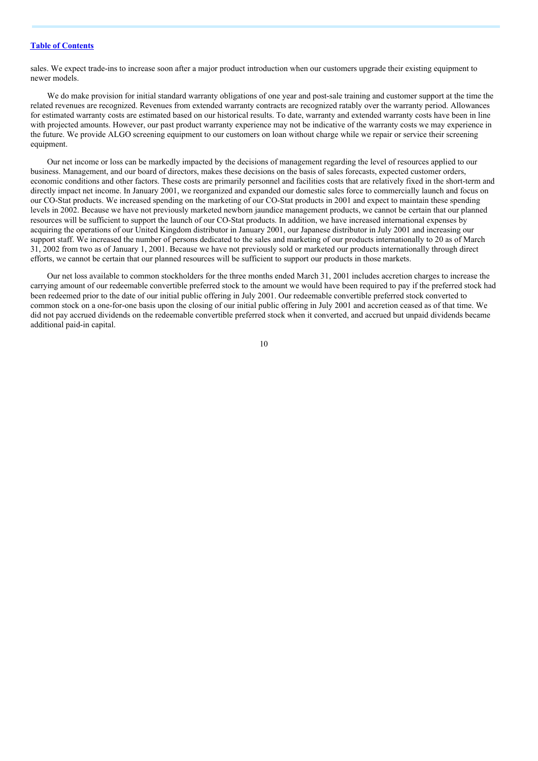sales. We expect trade-ins to increase soon after a major product introduction when our customers upgrade their existing equipment to newer models.

We do make provision for initial standard warranty obligations of one year and post-sale training and customer support at the time the related revenues are recognized. Revenues from extended warranty contracts are recognized ratably over the warranty period. Allowances for estimated warranty costs are estimated based on our historical results. To date, warranty and extended warranty costs have been in line with projected amounts. However, our past product warranty experience may not be indicative of the warranty costs we may experience in the future. We provide ALGO screening equipment to our customers on loan without charge while we repair or service their screening equipment.

Our net income or loss can be markedly impacted by the decisions of management regarding the level of resources applied to our business. Management, and our board of directors, makes these decisions on the basis of sales forecasts, expected customer orders, economic conditions and other factors. These costs are primarily personnel and facilities costs that are relatively fixed in the short-term and directly impact net income. In January 2001, we reorganized and expanded our domestic sales force to commercially launch and focus on our CO-Stat products. We increased spending on the marketing of our CO-Stat products in 2001 and expect to maintain these spending levels in 2002. Because we have not previously marketed newborn jaundice management products, we cannot be certain that our planned resources will be sufficient to support the launch of our CO-Stat products. In addition, we have increased international expenses by acquiring the operations of our United Kingdom distributor in January 2001, our Japanese distributor in July 2001 and increasing our support staff. We increased the number of persons dedicated to the sales and marketing of our products internationally to 20 as of March 31, 2002 from two as of January 1, 2001. Because we have not previously sold or marketed our products internationally through direct efforts, we cannot be certain that our planned resources will be sufficient to support our products in those markets.

Our net loss available to common stockholders for the three months ended March 31, 2001 includes accretion charges to increase the carrying amount of our redeemable convertible preferred stock to the amount we would have been required to pay if the preferred stock had been redeemed prior to the date of our initial public offering in July 2001. Our redeemable convertible preferred stock converted to common stock on a one-for-one basis upon the closing of our initial public offering in July 2001 and accretion ceased as of that time. We did not pay accrued dividends on the redeemable convertible preferred stock when it converted, and accrued but unpaid dividends became additional paid-in capital.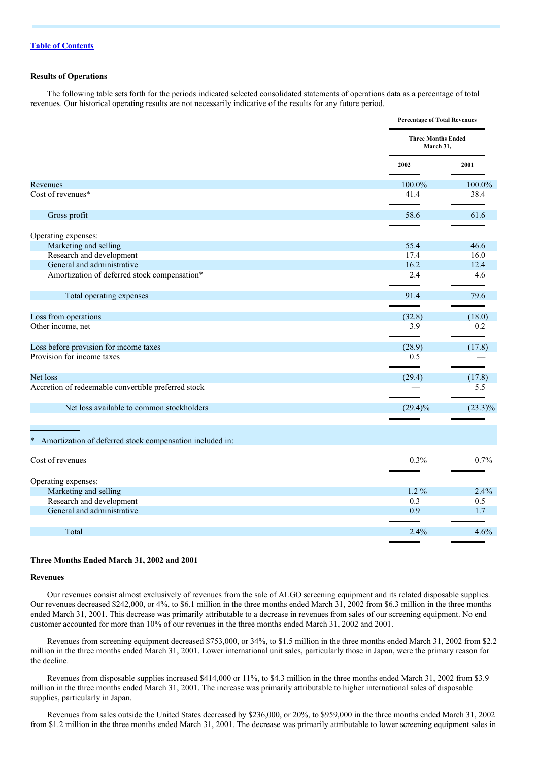## **Results of Operations**

The following table sets forth for the periods indicated selected consolidated statements of operations data as a percentage of total revenues. Our historical operating results are not necessarily indicative of the results for any future period.

|                                                            | <b>Percentage of Total Revenues</b>    |            |
|------------------------------------------------------------|----------------------------------------|------------|
|                                                            | <b>Three Months Ended</b><br>March 31, |            |
|                                                            | 2002                                   | 2001       |
| Revenues                                                   | 100.0%                                 | 100.0%     |
| Cost of revenues*                                          | 41.4                                   | 38.4       |
| Gross profit                                               | 58.6                                   | 61.6       |
| Operating expenses:                                        |                                        |            |
| Marketing and selling                                      | 55.4                                   | 46.6       |
| Research and development                                   | 17.4                                   | 16.0       |
| General and administrative                                 | 16.2                                   | 12.4       |
| Amortization of deferred stock compensation*               | 2.4                                    | 4.6        |
| Total operating expenses                                   | 91.4                                   | 79.6       |
|                                                            |                                        |            |
| Loss from operations                                       | (32.8)                                 | (18.0)     |
| Other income, net                                          | 3.9                                    | 0.2        |
| Loss before provision for income taxes                     | (28.9)                                 | (17.8)     |
| Provision for income taxes                                 | 0.5                                    |            |
| Net loss                                                   | (29.4)                                 | (17.8)     |
| Accretion of redeemable convertible preferred stock        |                                        | 5.5        |
| Net loss available to common stockholders                  | $(29.4)\%$                             | $(23.3)\%$ |
| * Amortization of deferred stock compensation included in: |                                        |            |
| Cost of revenues                                           | 0.3%                                   | 0.7%       |
|                                                            |                                        |            |
| Operating expenses:                                        |                                        |            |
| Marketing and selling                                      | $1.2\%$                                | 2.4%       |
| Research and development                                   | 0.3                                    | 0.5        |
| General and administrative                                 | 0.9                                    | 1.7        |
| Total                                                      | 2.4%                                   | 4.6%       |
|                                                            |                                        |            |

## **Three Months Ended March 31, 2002 and 2001**

#### **Revenues**

Our revenues consist almost exclusively of revenues from the sale of ALGO screening equipment and its related disposable supplies. Our revenues decreased \$242,000, or 4%, to \$6.1 million in the three months ended March 31, 2002 from \$6.3 million in the three months ended March 31, 2001. This decrease was primarily attributable to a decrease in revenues from sales of our screening equipment. No end customer accounted for more than 10% of our revenues in the three months ended March 31, 2002 and 2001.

Revenues from screening equipment decreased \$753,000, or 34%, to \$1.5 million in the three months ended March 31, 2002 from \$2.2 million in the three months ended March 31, 2001. Lower international unit sales, particularly those in Japan, were the primary reason for the decline.

Revenues from disposable supplies increased \$414,000 or 11%, to \$4.3 million in the three months ended March 31, 2002 from \$3.9 million in the three months ended March 31, 2001. The increase was primarily attributable to higher international sales of disposable supplies, particularly in Japan.

Revenues from sales outside the United States decreased by \$236,000, or 20%, to \$959,000 in the three months ended March 31, 2002 from \$1.2 million in the three months ended March 31, 2001. The decrease was primarily attributable to lower screening equipment sales in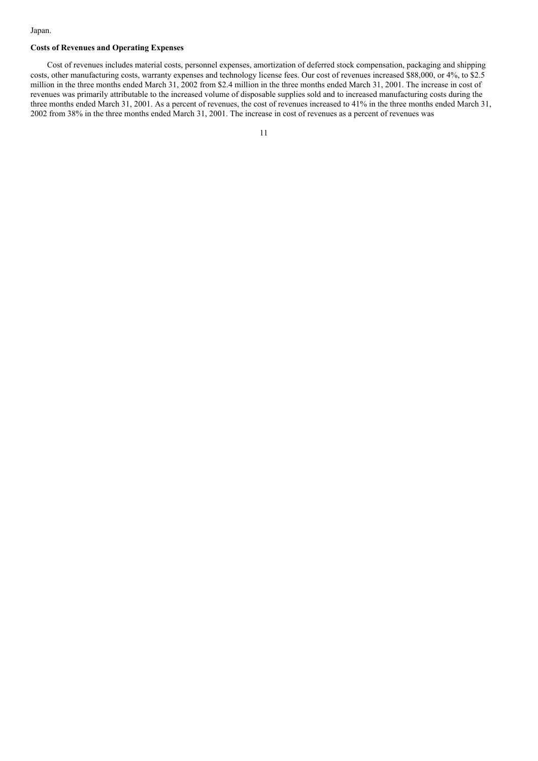#### Japan.

## **Costs of Revenues and Operating Expenses**

Cost of revenues includes material costs, personnel expenses, amortization of deferred stock compensation, packaging and shipping costs, other manufacturing costs, warranty expenses and technology license fees. Our cost of revenues increased \$88,000, or 4%, to \$2.5 million in the three months ended March 31, 2002 from \$2.4 million in the three months ended March 31, 2001. The increase in cost of revenues was primarily attributable to the increased volume of disposable supplies sold and to increased manufacturing costs during the three months ended March 31, 2001. As a percent of revenues, the cost of revenues increased to 41% in the three months ended March 31, 2002 from 38% in the three months ended March 31, 2001. The increase in cost of revenues as a percent of revenues was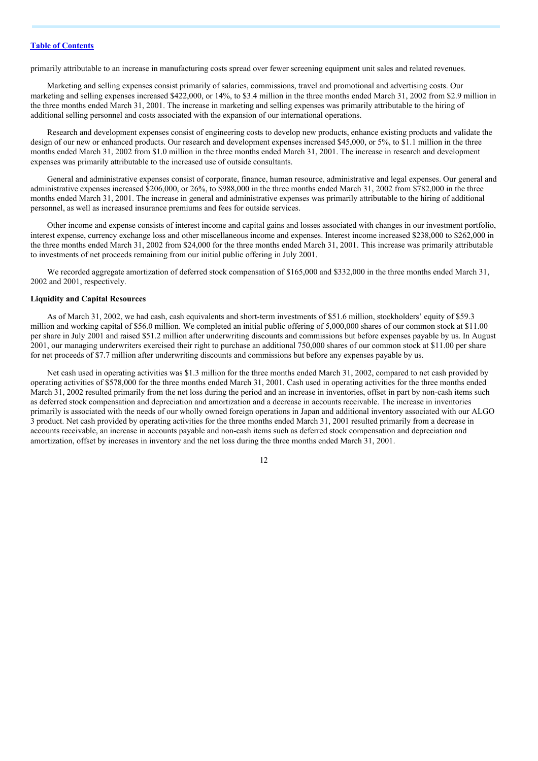primarily attributable to an increase in manufacturing costs spread over fewer screening equipment unit sales and related revenues.

Marketing and selling expenses consist primarily of salaries, commissions, travel and promotional and advertising costs. Our marketing and selling expenses increased \$422,000, or 14%, to \$3.4 million in the three months ended March 31, 2002 from \$2.9 million in the three months ended March 31, 2001. The increase in marketing and selling expenses was primarily attributable to the hiring of additional selling personnel and costs associated with the expansion of our international operations.

Research and development expenses consist of engineering costs to develop new products, enhance existing products and validate the design of our new or enhanced products. Our research and development expenses increased \$45,000, or 5%, to \$1.1 million in the three months ended March 31, 2002 from \$1.0 million in the three months ended March 31, 2001. The increase in research and development expenses was primarily attributable to the increased use of outside consultants.

General and administrative expenses consist of corporate, finance, human resource, administrative and legal expenses. Our general and administrative expenses increased \$206,000, or 26%, to \$988,000 in the three months ended March 31, 2002 from \$782,000 in the three months ended March 31, 2001. The increase in general and administrative expenses was primarily attributable to the hiring of additional personnel, as well as increased insurance premiums and fees for outside services.

Other income and expense consists of interest income and capital gains and losses associated with changes in our investment portfolio, interest expense, currency exchange loss and other miscellaneous income and expenses. Interest income increased \$238,000 to \$262,000 in the three months ended March 31, 2002 from \$24,000 for the three months ended March 31, 2001. This increase was primarily attributable to investments of net proceeds remaining from our initial public offering in July 2001.

We recorded aggregate amortization of deferred stock compensation of \$165,000 and \$332,000 in the three months ended March 31, 2002 and 2001, respectively.

#### **Liquidity and Capital Resources**

As of March 31, 2002, we had cash, cash equivalents and short-term investments of \$51.6 million, stockholders' equity of \$59.3 million and working capital of \$56.0 million. We completed an initial public offering of 5,000,000 shares of our common stock at \$11.00 per share in July 2001 and raised \$51.2 million after underwriting discounts and commissions but before expenses payable by us. In August 2001, our managing underwriters exercised their right to purchase an additional 750,000 shares of our common stock at \$11.00 per share for net proceeds of \$7.7 million after underwriting discounts and commissions but before any expenses payable by us.

Net cash used in operating activities was \$1.3 million for the three months ended March 31, 2002, compared to net cash provided by operating activities of \$578,000 for the three months ended March 31, 2001. Cash used in operating activities for the three months ended March 31, 2002 resulted primarily from the net loss during the period and an increase in inventories, offset in part by non-cash items such as deferred stock compensation and depreciation and amortization and a decrease in accounts receivable. The increase in inventories primarily is associated with the needs of our wholly owned foreign operations in Japan and additional inventory associated with our ALGO 3 product. Net cash provided by operating activities for the three months ended March 31, 2001 resulted primarily from a decrease in accounts receivable, an increase in accounts payable and non-cash items such as deferred stock compensation and depreciation and amortization, offset by increases in inventory and the net loss during the three months ended March 31, 2001.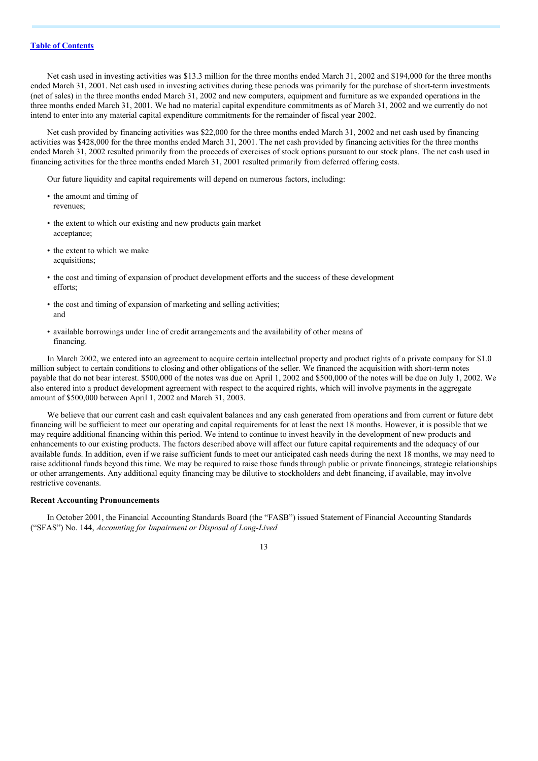Net cash used in investing activities was \$13.3 million for the three months ended March 31, 2002 and \$194,000 for the three months ended March 31, 2001. Net cash used in investing activities during these periods was primarily for the purchase of short-term investments (net of sales) in the three months ended March 31, 2002 and new computers, equipment and furniture as we expanded operations in the three months ended March 31, 2001. We had no material capital expenditure commitments as of March 31, 2002 and we currently do not intend to enter into any material capital expenditure commitments for the remainder of fiscal year 2002.

Net cash provided by financing activities was \$22,000 for the three months ended March 31, 2002 and net cash used by financing activities was \$428,000 for the three months ended March 31, 2001. The net cash provided by financing activities for the three months ended March 31, 2002 resulted primarily from the proceeds of exercises of stock options pursuant to our stock plans. The net cash used in financing activities for the three months ended March 31, 2001 resulted primarily from deferred offering costs.

Our future liquidity and capital requirements will depend on numerous factors, including:

- the amount and timing of revenues;
- the extent to which our existing and new products gain market acceptance;
- the extent to which we make acquisitions;
- the cost and timing of expansion of product development efforts and the success of these development efforts;
- the cost and timing of expansion of marketing and selling activities; and
- available borrowings under line of credit arrangements and the availability of other means of financing.

In March 2002, we entered into an agreement to acquire certain intellectual property and product rights of a private company for \$1.0 million subject to certain conditions to closing and other obligations of the seller. We financed the acquisition with short-term notes payable that do not bear interest. \$500,000 of the notes was due on April 1, 2002 and \$500,000 of the notes will be due on July 1, 2002. We also entered into a product development agreement with respect to the acquired rights, which will involve payments in the aggregate amount of \$500,000 between April 1, 2002 and March 31, 2003.

We believe that our current cash and cash equivalent balances and any cash generated from operations and from current or future debt financing will be sufficient to meet our operating and capital requirements for at least the next 18 months. However, it is possible that we may require additional financing within this period. We intend to continue to invest heavily in the development of new products and enhancements to our existing products. The factors described above will affect our future capital requirements and the adequacy of our available funds. In addition, even if we raise sufficient funds to meet our anticipated cash needs during the next 18 months, we may need to raise additional funds beyond this time. We may be required to raise those funds through public or private financings, strategic relationships or other arrangements. Any additional equity financing may be dilutive to stockholders and debt financing, if available, may involve restrictive covenants.

### **Recent Accounting Pronouncements**

In October 2001, the Financial Accounting Standards Board (the "FASB") issued Statement of Financial Accounting Standards ("SFAS") No. 144, *Accounting for Impairment or Disposal of Long-Lived*

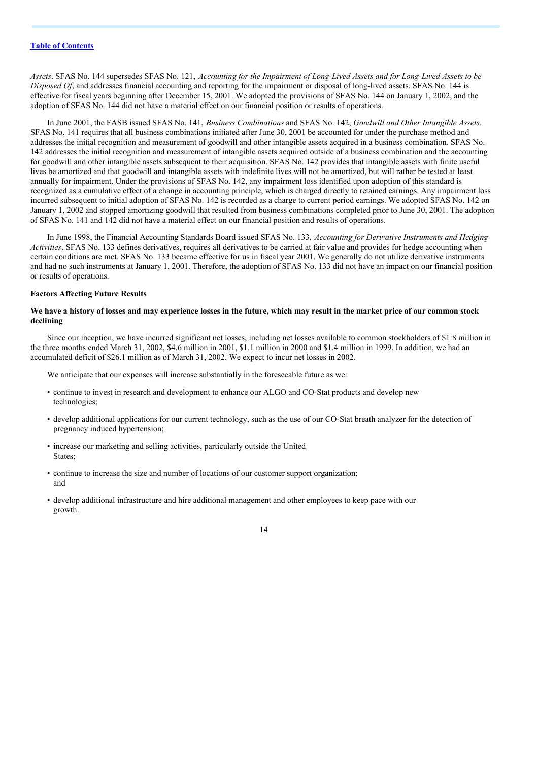Assets. SFAS No. 144 supersedes SFAS No. 121, Accounting for the Impairment of Long-Lived Assets and for Long-Lived Assets to be *Disposed Of*, and addresses financial accounting and reporting for the impairment or disposal of long-lived assets. SFAS No. 144 is effective for fiscal years beginning after December 15, 2001. We adopted the provisions of SFAS No. 144 on January 1, 2002, and the adoption of SFAS No. 144 did not have a material effect on our financial position or results of operations.

In June 2001, the FASB issued SFAS No. 141, *Business Combinations* and SFAS No. 142, *Goodwill and Other Intangible Assets*. SFAS No. 141 requires that all business combinations initiated after June 30, 2001 be accounted for under the purchase method and addresses the initial recognition and measurement of goodwill and other intangible assets acquired in a business combination. SFAS No. 142 addresses the initial recognition and measurement of intangible assets acquired outside of a business combination and the accounting for goodwill and other intangible assets subsequent to their acquisition. SFAS No. 142 provides that intangible assets with finite useful lives be amortized and that goodwill and intangible assets with indefinite lives will not be amortized, but will rather be tested at least annually for impairment. Under the provisions of SFAS No. 142, any impairment loss identified upon adoption of this standard is recognized as a cumulative effect of a change in accounting principle, which is charged directly to retained earnings. Any impairment loss incurred subsequent to initial adoption of SFAS No. 142 is recorded as a charge to current period earnings. We adopted SFAS No. 142 on January 1, 2002 and stopped amortizing goodwill that resulted from business combinations completed prior to June 30, 2001. The adoption of SFAS No. 141 and 142 did not have a material effect on our financial position and results of operations.

In June 1998, the Financial Accounting Standards Board issued SFAS No. 133, *Accounting for Derivative Instruments and Hedging Activities*. SFAS No. 133 defines derivatives, requires all derivatives to be carried at fair value and provides for hedge accounting when certain conditions are met. SFAS No. 133 became effective for us in fiscal year 2001. We generally do not utilize derivative instruments and had no such instruments at January 1, 2001. Therefore, the adoption of SFAS No. 133 did not have an impact on our financial position or results of operations.

#### **Factors Affecting Future Results**

#### We have a history of losses and may experience losses in the future, which may result in the market price of our common stock **declining**

Since our inception, we have incurred significant net losses, including net losses available to common stockholders of \$1.8 million in the three months ended March 31, 2002, \$4.6 million in 2001, \$1.1 million in 2000 and \$1.4 million in 1999. In addition, we had an accumulated deficit of \$26.1 million as of March 31, 2002. We expect to incur net losses in 2002.

We anticipate that our expenses will increase substantially in the foreseeable future as we:

- continue to invest in research and development to enhance our ALGO and CO-Stat products and develop new technologies;
- develop additional applications for our current technology, such as the use of our CO-Stat breath analyzer for the detection of pregnancy induced hypertension;
- increase our marketing and selling activities, particularly outside the United States;
- continue to increase the size and number of locations of our customer support organization; and
- develop additional infrastructure and hire additional management and other employees to keep pace with our growth.

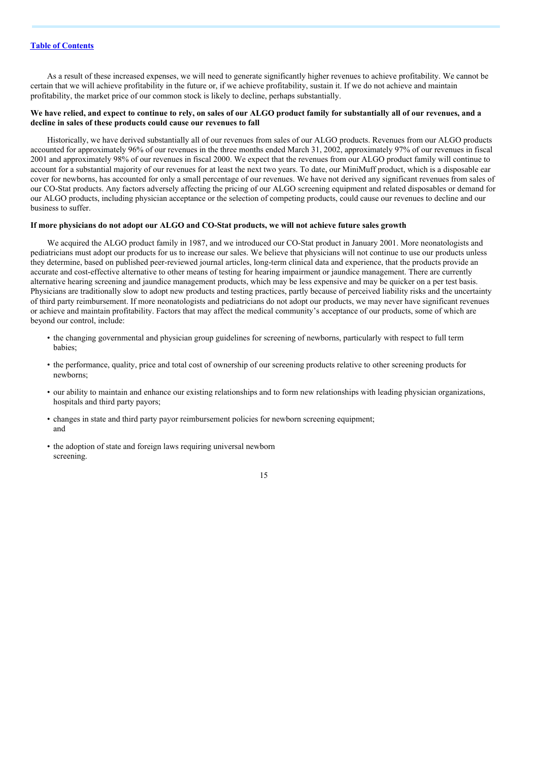As a result of these increased expenses, we will need to generate significantly higher revenues to achieve profitability. We cannot be certain that we will achieve profitability in the future or, if we achieve profitability, sustain it. If we do not achieve and maintain profitability, the market price of our common stock is likely to decline, perhaps substantially.

## We have relied, and expect to continue to rely, on sales of our ALGO product family for substantially all of our revenues, and a **decline in sales of these products could cause our revenues to fall**

Historically, we have derived substantially all of our revenues from sales of our ALGO products. Revenues from our ALGO products accounted for approximately 96% of our revenues in the three months ended March 31, 2002, approximately 97% of our revenues in fiscal 2001 and approximately 98% of our revenues in fiscal 2000. We expect that the revenues from our ALGO product family will continue to account for a substantial majority of our revenues for at least the next two years. To date, our MiniMuff product, which is a disposable ear cover for newborns, has accounted for only a small percentage of our revenues. We have not derived any significant revenues from sales of our CO-Stat products. Any factors adversely affecting the pricing of our ALGO screening equipment and related disposables or demand for our ALGO products, including physician acceptance or the selection of competing products, could cause our revenues to decline and our business to suffer.

## If more physicians do not adopt our ALGO and CO-Stat products, we will not achieve future sales growth

We acquired the ALGO product family in 1987, and we introduced our CO-Stat product in January 2001. More neonatologists and pediatricians must adopt our products for us to increase our sales. We believe that physicians will not continue to use our products unless they determine, based on published peer-reviewed journal articles, long-term clinical data and experience, that the products provide an accurate and cost-effective alternative to other means of testing for hearing impairment or jaundice management. There are currently alternative hearing screening and jaundice management products, which may be less expensive and may be quicker on a per test basis. Physicians are traditionally slow to adopt new products and testing practices, partly because of perceived liability risks and the uncertainty of third party reimbursement. If more neonatologists and pediatricians do not adopt our products, we may never have significant revenues or achieve and maintain profitability. Factors that may affect the medical community's acceptance of our products, some of which are beyond our control, include:

- the changing governmental and physician group guidelines for screening of newborns, particularly with respect to full term babies;
- the performance, quality, price and total cost of ownership of our screening products relative to other screening products for newborns;
- our ability to maintain and enhance our existing relationships and to form new relationships with leading physician organizations, hospitals and third party payors;
- changes in state and third party payor reimbursement policies for newborn screening equipment; and
- the adoption of state and foreign laws requiring universal newborn screening.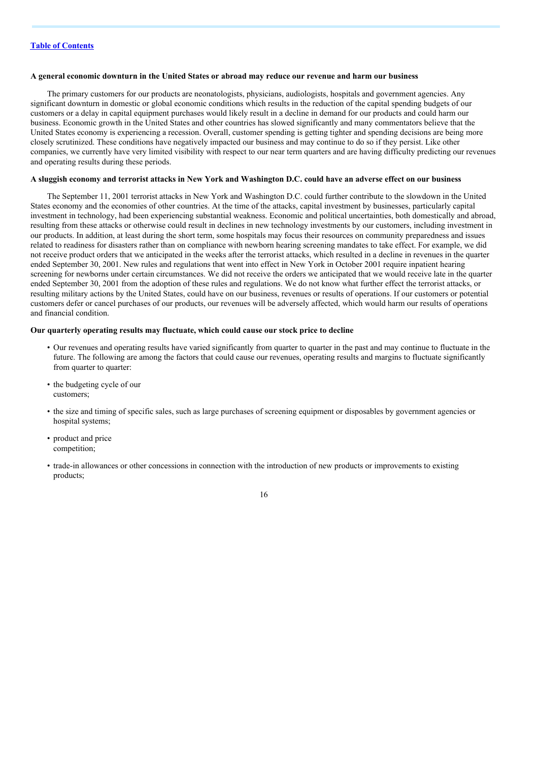#### A general economic downturn in the United States or abroad may reduce our revenue and harm our business

The primary customers for our products are neonatologists, physicians, audiologists, hospitals and government agencies. Any significant downturn in domestic or global economic conditions which results in the reduction of the capital spending budgets of our customers or a delay in capital equipment purchases would likely result in a decline in demand for our products and could harm our business. Economic growth in the United States and other countries has slowed significantly and many commentators believe that the United States economy is experiencing a recession. Overall, customer spending is getting tighter and spending decisions are being more closely scrutinized. These conditions have negatively impacted our business and may continue to do so if they persist. Like other companies, we currently have very limited visibility with respect to our near term quarters and are having difficulty predicting our revenues and operating results during these periods.

#### A sluggish economy and terrorist attacks in New York and Washington D.C. could have an adverse effect on our business

The September 11, 2001 terrorist attacks in New York and Washington D.C. could further contribute to the slowdown in the United States economy and the economies of other countries. At the time of the attacks, capital investment by businesses, particularly capital investment in technology, had been experiencing substantial weakness. Economic and political uncertainties, both domestically and abroad, resulting from these attacks or otherwise could result in declines in new technology investments by our customers, including investment in our products. In addition, at least during the short term, some hospitals may focus their resources on community preparedness and issues related to readiness for disasters rather than on compliance with newborn hearing screening mandates to take effect. For example, we did not receive product orders that we anticipated in the weeks after the terrorist attacks, which resulted in a decline in revenues in the quarter ended September 30, 2001. New rules and regulations that went into effect in New York in October 2001 require inpatient hearing screening for newborns under certain circumstances. We did not receive the orders we anticipated that we would receive late in the quarter ended September 30, 2001 from the adoption of these rules and regulations. We do not know what further effect the terrorist attacks, or resulting military actions by the United States, could have on our business, revenues or results of operations. If our customers or potential customers defer or cancel purchases of our products, our revenues will be adversely affected, which would harm our results of operations and financial condition.

## **Our quarterly operating results may fluctuate, which could cause our stock price to decline**

- Our revenues and operating results have varied significantly from quarter to quarter in the past and may continue to fluctuate in the future. The following are among the factors that could cause our revenues, operating results and margins to fluctuate significantly from quarter to quarter:
- the budgeting cycle of our customers;
- the size and timing of specific sales, such as large purchases of screening equipment or disposables by government agencies or hospital systems;
- product and price competition;
- trade-in allowances or other concessions in connection with the introduction of new products or improvements to existing products;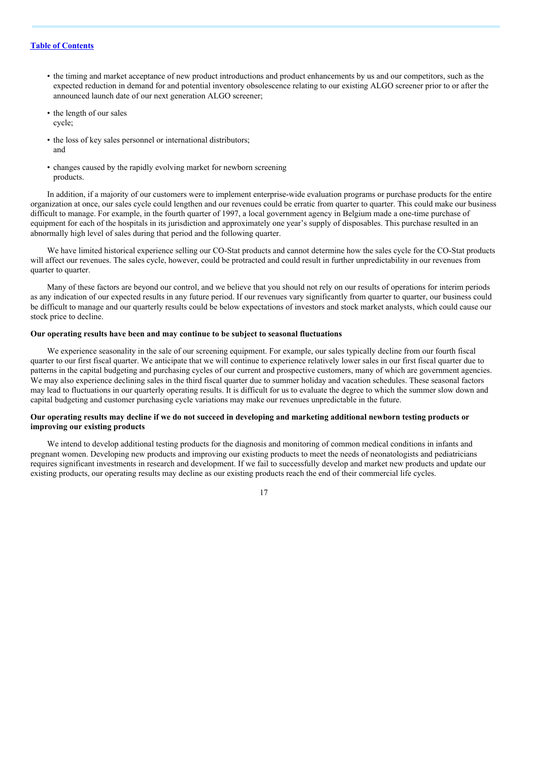- the timing and market acceptance of new product introductions and product enhancements by us and our competitors, such as the expected reduction in demand for and potential inventory obsolescence relating to our existing ALGO screener prior to or after the announced launch date of our next generation ALGO screener;
- the length of our sales cycle;
- the loss of key sales personnel or international distributors; and
- changes caused by the rapidly evolving market for newborn screening products.

In addition, if a majority of our customers were to implement enterprise-wide evaluation programs or purchase products for the entire organization at once, our sales cycle could lengthen and our revenues could be erratic from quarter to quarter. This could make our business difficult to manage. For example, in the fourth quarter of 1997, a local government agency in Belgium made a one-time purchase of equipment for each of the hospitals in its jurisdiction and approximately one year's supply of disposables. This purchase resulted in an abnormally high level of sales during that period and the following quarter.

We have limited historical experience selling our CO-Stat products and cannot determine how the sales cycle for the CO-Stat products will affect our revenues. The sales cycle, however, could be protracted and could result in further unpredictability in our revenues from quarter to quarter.

Many of these factors are beyond our control, and we believe that you should not rely on our results of operations for interim periods as any indication of our expected results in any future period. If our revenues vary significantly from quarter to quarter, our business could be difficult to manage and our quarterly results could be below expectations of investors and stock market analysts, which could cause our stock price to decline.

#### **Our operating results have been and may continue to be subject to seasonal fluctuations**

We experience seasonality in the sale of our screening equipment. For example, our sales typically decline from our fourth fiscal quarter to our first fiscal quarter. We anticipate that we will continue to experience relatively lower sales in our first fiscal quarter due to patterns in the capital budgeting and purchasing cycles of our current and prospective customers, many of which are government agencies. We may also experience declining sales in the third fiscal quarter due to summer holiday and vacation schedules. These seasonal factors may lead to fluctuations in our quarterly operating results. It is difficult for us to evaluate the degree to which the summer slow down and capital budgeting and customer purchasing cycle variations may make our revenues unpredictable in the future.

## Our operating results may decline if we do not succeed in developing and marketing additional newborn testing products or **improving our existing products**

We intend to develop additional testing products for the diagnosis and monitoring of common medical conditions in infants and pregnant women. Developing new products and improving our existing products to meet the needs of neonatologists and pediatricians requires significant investments in research and development. If we fail to successfully develop and market new products and update our existing products, our operating results may decline as our existing products reach the end of their commercial life cycles.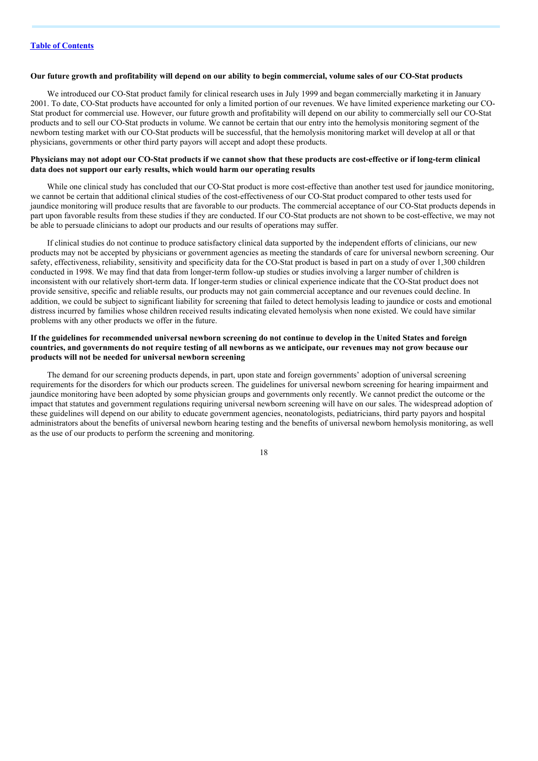#### Our future growth and profitability will depend on our ability to begin commercial, volume sales of our CO-Stat products

We introduced our CO-Stat product family for clinical research uses in July 1999 and began commercially marketing it in January 2001. To date, CO-Stat products have accounted for only a limited portion of our revenues. We have limited experience marketing our CO-Stat product for commercial use. However, our future growth and profitability will depend on our ability to commercially sell our CO-Stat products and to sell our CO-Stat products in volume. We cannot be certain that our entry into the hemolysis monitoring segment of the newborn testing market with our CO-Stat products will be successful, that the hemolysis monitoring market will develop at all or that physicians, governments or other third party payors will accept and adopt these products.

#### Physicians may not adopt our CO-Stat products if we cannot show that these products are cost-effective or if long-term clinical **data does not support our early results, which would harm our operating results**

While one clinical study has concluded that our CO-Stat product is more cost-effective than another test used for jaundice monitoring, we cannot be certain that additional clinical studies of the cost-effectiveness of our CO-Stat product compared to other tests used for jaundice monitoring will produce results that are favorable to our products. The commercial acceptance of our CO-Stat products depends in part upon favorable results from these studies if they are conducted. If our CO-Stat products are not shown to be cost-effective, we may not be able to persuade clinicians to adopt our products and our results of operations may suffer.

If clinical studies do not continue to produce satisfactory clinical data supported by the independent efforts of clinicians, our new products may not be accepted by physicians or government agencies as meeting the standards of care for universal newborn screening. Our safety, effectiveness, reliability, sensitivity and specificity data for the CO-Stat product is based in part on a study of over 1,300 children conducted in 1998. We may find that data from longer-term follow-up studies or studies involving a larger number of children is inconsistent with our relatively short-term data. If longer-term studies or clinical experience indicate that the CO-Stat product does not provide sensitive, specific and reliable results, our products may not gain commercial acceptance and our revenues could decline. In addition, we could be subject to significant liability for screening that failed to detect hemolysis leading to jaundice or costs and emotional distress incurred by families whose children received results indicating elevated hemolysis when none existed. We could have similar problems with any other products we offer in the future.

## If the guidelines for recommended universal newborn screening do not continue to develop in the United States and foreign countries, and governments do not require testing of all newborns as we anticipate, our revenues may not grow because our **products will not be needed for universal newborn screening**

The demand for our screening products depends, in part, upon state and foreign governments' adoption of universal screening requirements for the disorders for which our products screen. The guidelines for universal newborn screening for hearing impairment and jaundice monitoring have been adopted by some physician groups and governments only recently. We cannot predict the outcome or the impact that statutes and government regulations requiring universal newborn screening will have on our sales. The widespread adoption of these guidelines will depend on our ability to educate government agencies, neonatologists, pediatricians, third party payors and hospital administrators about the benefits of universal newborn hearing testing and the benefits of universal newborn hemolysis monitoring, as well as the use of our products to perform the screening and monitoring.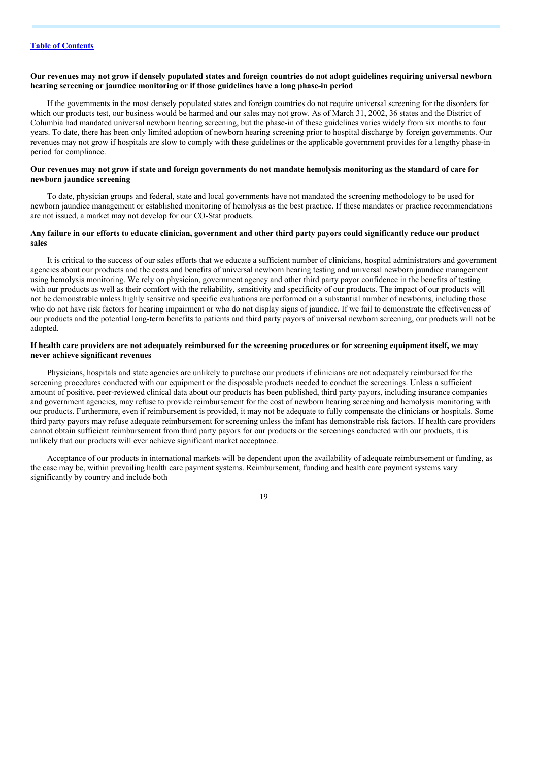### Our revenues may not grow if densely populated states and foreign countries do not adopt guidelines requiring universal newborn **hearing screening or jaundice monitoring or if those guidelines have a long phase-in period**

If the governments in the most densely populated states and foreign countries do not require universal screening for the disorders for which our products test, our business would be harmed and our sales may not grow. As of March 31, 2002, 36 states and the District of Columbia had mandated universal newborn hearing screening, but the phase-in of these guidelines varies widely from six months to four years. To date, there has been only limited adoption of newborn hearing screening prior to hospital discharge by foreign governments. Our revenues may not grow if hospitals are slow to comply with these guidelines or the applicable government provides for a lengthy phase-in period for compliance.

#### Our revenues may not grow if state and foreign governments do not mandate hemolysis monitoring as the standard of care for **newborn jaundice screening**

To date, physician groups and federal, state and local governments have not mandated the screening methodology to be used for newborn jaundice management or established monitoring of hemolysis as the best practice. If these mandates or practice recommendations are not issued, a market may not develop for our CO-Stat products.

### Any failure in our efforts to educate clinician, government and other third party payors could significantly reduce our product **sales**

It is critical to the success of our sales efforts that we educate a sufficient number of clinicians, hospital administrators and government agencies about our products and the costs and benefits of universal newborn hearing testing and universal newborn jaundice management using hemolysis monitoring. We rely on physician, government agency and other third party payor confidence in the benefits of testing with our products as well as their comfort with the reliability, sensitivity and specificity of our products. The impact of our products will not be demonstrable unless highly sensitive and specific evaluations are performed on a substantial number of newborns, including those who do not have risk factors for hearing impairment or who do not display signs of jaundice. If we fail to demonstrate the effectiveness of our products and the potential long-term benefits to patients and third party payors of universal newborn screening, our products will not be adopted.

## If health care providers are not adequately reimbursed for the screening procedures or for screening equipment itself, we may **never achieve significant revenues**

Physicians, hospitals and state agencies are unlikely to purchase our products if clinicians are not adequately reimbursed for the screening procedures conducted with our equipment or the disposable products needed to conduct the screenings. Unless a sufficient amount of positive, peer-reviewed clinical data about our products has been published, third party payors, including insurance companies and government agencies, may refuse to provide reimbursement for the cost of newborn hearing screening and hemolysis monitoring with our products. Furthermore, even if reimbursement is provided, it may not be adequate to fully compensate the clinicians or hospitals. Some third party payors may refuse adequate reimbursement for screening unless the infant has demonstrable risk factors. If health care providers cannot obtain sufficient reimbursement from third party payors for our products or the screenings conducted with our products, it is unlikely that our products will ever achieve significant market acceptance.

Acceptance of our products in international markets will be dependent upon the availability of adequate reimbursement or funding, as the case may be, within prevailing health care payment systems. Reimbursement, funding and health care payment systems vary significantly by country and include both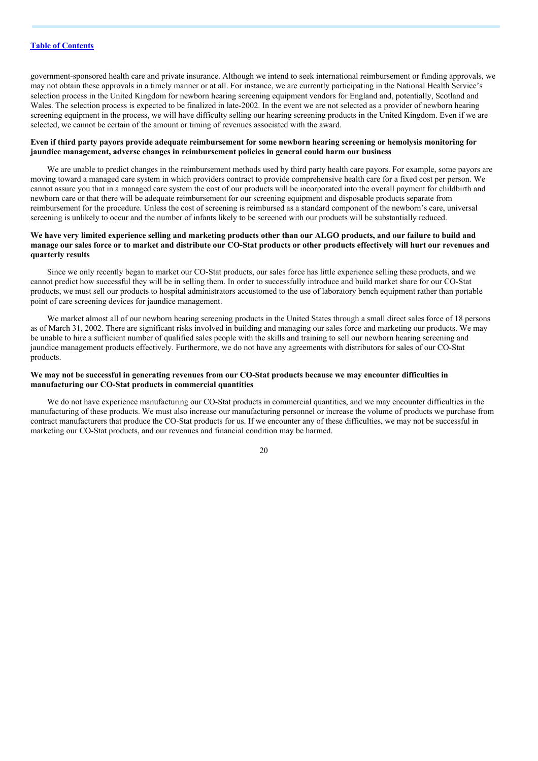government-sponsored health care and private insurance. Although we intend to seek international reimbursement or funding approvals, we may not obtain these approvals in a timely manner or at all. For instance, we are currently participating in the National Health Service's selection process in the United Kingdom for newborn hearing screening equipment vendors for England and, potentially, Scotland and Wales. The selection process is expected to be finalized in late-2002. In the event we are not selected as a provider of newborn hearing screening equipment in the process, we will have difficulty selling our hearing screening products in the United Kingdom. Even if we are selected, we cannot be certain of the amount or timing of revenues associated with the award.

## Even if third party payors provide adequate reimbursement for some newborn hearing screening or hemolysis monitoring for **jaundice management, adverse changes in reimbursement policies in general could harm our business**

We are unable to predict changes in the reimbursement methods used by third party health care payors. For example, some payors are moving toward a managed care system in which providers contract to provide comprehensive health care for a fixed cost per person. We cannot assure you that in a managed care system the cost of our products will be incorporated into the overall payment for childbirth and newborn care or that there will be adequate reimbursement for our screening equipment and disposable products separate from reimbursement for the procedure. Unless the cost of screening is reimbursed as a standard component of the newborn's care, universal screening is unlikely to occur and the number of infants likely to be screened with our products will be substantially reduced.

## We have very limited experience selling and marketing products other than our ALGO products, and our failure to build and manage our sales force or to market and distribute our CO-Stat products or other products effectively will hurt our revenues and **quarterly results**

Since we only recently began to market our CO-Stat products, our sales force has little experience selling these products, and we cannot predict how successful they will be in selling them. In order to successfully introduce and build market share for our CO-Stat products, we must sell our products to hospital administrators accustomed to the use of laboratory bench equipment rather than portable point of care screening devices for jaundice management.

We market almost all of our newborn hearing screening products in the United States through a small direct sales force of 18 persons as of March 31, 2002. There are significant risks involved in building and managing our sales force and marketing our products. We may be unable to hire a sufficient number of qualified sales people with the skills and training to sell our newborn hearing screening and jaundice management products effectively. Furthermore, we do not have any agreements with distributors for sales of our CO-Stat products.

## We may not be successful in generating revenues from our CO-Stat products because we may encounter difficulties in **manufacturing our CO-Stat products in commercial quantities**

We do not have experience manufacturing our CO-Stat products in commercial quantities, and we may encounter difficulties in the manufacturing of these products. We must also increase our manufacturing personnel or increase the volume of products we purchase from contract manufacturers that produce the CO-Stat products for us. If we encounter any of these difficulties, we may not be successful in marketing our CO-Stat products, and our revenues and financial condition may be harmed.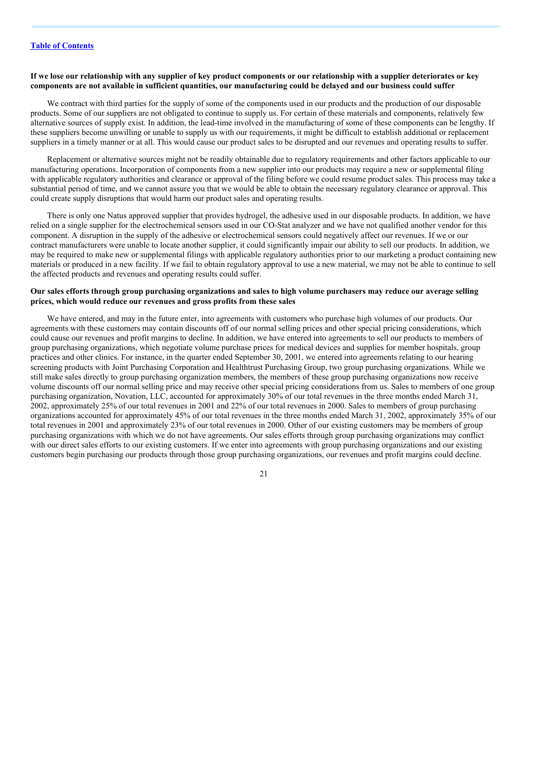### If we lose our relationship with any supplier of key product components or our relationship with a supplier deteriorates or key components are not available in sufficient quantities, our manufacturing could be delayed and our business could suffer

We contract with third parties for the supply of some of the components used in our products and the production of our disposable products. Some of our suppliers are not obligated to continue to supply us. For certain of these materials and components, relatively few alternative sources of supply exist. In addition, the lead-time involved in the manufacturing of some of these components can be lengthy. If these suppliers become unwilling or unable to supply us with our requirements, it might be difficult to establish additional or replacement suppliers in a timely manner or at all. This would cause our product sales to be disrupted and our revenues and operating results to suffer.

Replacement or alternative sources might not be readily obtainable due to regulatory requirements and other factors applicable to our manufacturing operations. Incorporation of components from a new supplier into our products may require a new or supplemental filing with applicable regulatory authorities and clearance or approval of the filing before we could resume product sales. This process may take a substantial period of time, and we cannot assure you that we would be able to obtain the necessary regulatory clearance or approval. This could create supply disruptions that would harm our product sales and operating results.

There is only one Natus approved supplier that provides hydrogel, the adhesive used in our disposable products. In addition, we have relied on a single supplier for the electrochemical sensors used in our CO-Stat analyzer and we have not qualified another vendor for this component. A disruption in the supply of the adhesive or electrochemical sensors could negatively affect our revenues. If we or our contract manufacturers were unable to locate another supplier, it could significantly impair our ability to sell our products. In addition, we may be required to make new or supplemental filings with applicable regulatory authorities prior to our marketing a product containing new materials or produced in a new facility. If we fail to obtain regulatory approval to use a new material, we may not be able to continue to sell the affected products and revenues and operating results could suffer.

## Our sales efforts through group purchasing organizations and sales to high volume purchasers may reduce our average selling **prices, which would reduce our revenues and gross profits from these sales**

We have entered, and may in the future enter, into agreements with customers who purchase high volumes of our products. Our agreements with these customers may contain discounts off of our normal selling prices and other special pricing considerations, which could cause our revenues and profit margins to decline. In addition, we have entered into agreements to sell our products to members of group purchasing organizations, which negotiate volume purchase prices for medical devices and supplies for member hospitals, group practices and other clinics. For instance, in the quarter ended September 30, 2001, we entered into agreements relating to our hearing screening products with Joint Purchasing Corporation and Healthtrust Purchasing Group, two group purchasing organizations. While we still make sales directly to group purchasing organization members, the members of these group purchasing organizations now receive volume discounts off our normal selling price and may receive other special pricing considerations from us. Sales to members of one group purchasing organization, Novation, LLC, accounted for approximately 30% of our total revenues in the three months ended March 31, 2002, approximately 25% of our total revenues in 2001 and 22% of our total revenues in 2000. Sales to members of group purchasing organizations accounted for approximately 45% of our total revenues in the three months ended March 31, 2002, approximately 35% of our total revenues in 2001 and approximately 23% of our total revenues in 2000. Other of our existing customers may be members of group purchasing organizations with which we do not have agreements. Our sales efforts through group purchasing organizations may conflict with our direct sales efforts to our existing customers. If we enter into agreements with group purchasing organizations and our existing customers begin purchasing our products through those group purchasing organizations, our revenues and profit margins could decline.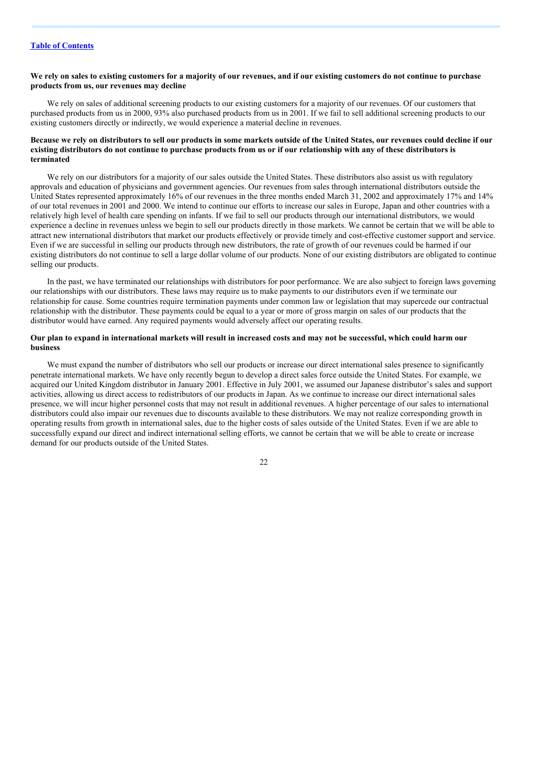## We rely on sales to existing customers for a majority of our revenues, and if our existing customers do not continue to purchase **products from us, our revenues may decline**

We rely on sales of additional screening products to our existing customers for a majority of our revenues. Of our customers that purchased products from us in 2000, 93% also purchased products from us in 2001. If we fail to sell additional screening products to our existing customers directly or indirectly, we would experience a material decline in revenues.

### Because we rely on distributors to sell our products in some markets outside of the United States, our revenues could decline if our existing distributors do not continue to purchase products from us or if our relationship with any of these distributors is **terminated**

We rely on our distributors for a majority of our sales outside the United States. These distributors also assist us with regulatory approvals and education of physicians and government agencies. Our revenues from sales through international distributors outside the United States represented approximately 16% of our revenues in the three months ended March 31, 2002 and approximately 17% and 14% of our total revenues in 2001 and 2000. We intend to continue our efforts to increase our sales in Europe, Japan and other countries with a relatively high level of health care spending on infants. If we fail to sell our products through our international distributors, we would experience a decline in revenues unless we begin to sell our products directly in those markets. We cannot be certain that we will be able to attract new international distributors that market our products effectively or provide timely and cost-effective customer support and service. Even if we are successful in selling our products through new distributors, the rate of growth of our revenues could be harmed if our existing distributors do not continue to sell a large dollar volume of our products. None of our existing distributors are obligated to continue selling our products.

In the past, we have terminated our relationships with distributors for poor performance. We are also subject to foreign laws governing our relationships with our distributors. These laws may require us to make payments to our distributors even if we terminate our relationship for cause. Some countries require termination payments under common law or legislation that may supercede our contractual relationship with the distributor. These payments could be equal to a year or more of gross margin on sales of our products that the distributor would have earned. Any required payments would adversely affect our operating results.

## Our plan to expand in international markets will result in increased costs and may not be successful, which could harm our **business**

We must expand the number of distributors who sell our products or increase our direct international sales presence to significantly penetrate international markets. We have only recently begun to develop a direct sales force outside the United States. For example, we acquired our United Kingdom distributor in January 2001. Effective in July 2001, we assumed our Japanese distributor's sales and support activities, allowing us direct access to redistributors of our products in Japan. As we continue to increase our direct international sales presence, we will incur higher personnel costs that may not result in additional revenues. A higher percentage of our sales to international distributors could also impair our revenues due to discounts available to these distributors. We may not realize corresponding growth in operating results from growth in international sales, due to the higher costs of sales outside of the United States. Even if we are able to successfully expand our direct and indirect international selling efforts, we cannot be certain that we will be able to create or increase demand for our products outside of the United States.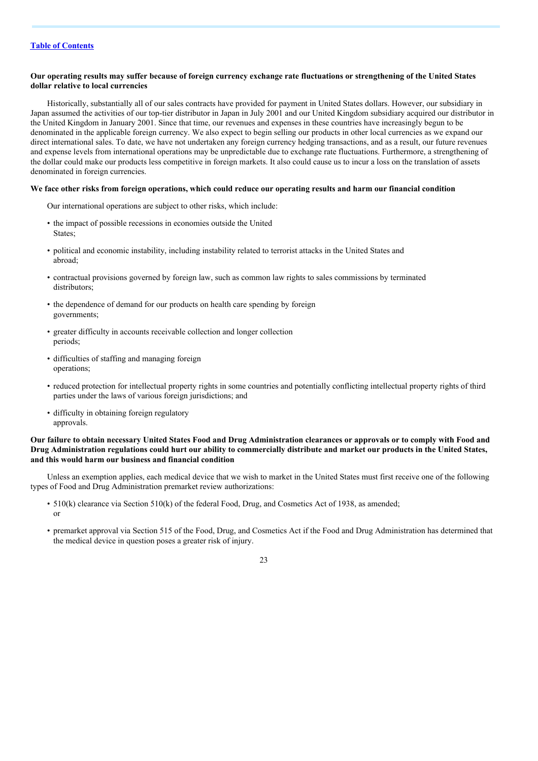## Our operating results may suffer because of foreign currency exchange rate fluctuations or strengthening of the United States **dollar relative to local currencies**

Historically, substantially all of our sales contracts have provided for payment in United States dollars. However, our subsidiary in Japan assumed the activities of our top-tier distributor in Japan in July 2001 and our United Kingdom subsidiary acquired our distributor in the United Kingdom in January 2001. Since that time, our revenues and expenses in these countries have increasingly begun to be denominated in the applicable foreign currency. We also expect to begin selling our products in other local currencies as we expand our direct international sales. To date, we have not undertaken any foreign currency hedging transactions, and as a result, our future revenues and expense levels from international operations may be unpredictable due to exchange rate fluctuations. Furthermore, a strengthening of the dollar could make our products less competitive in foreign markets. It also could cause us to incur a loss on the translation of assets denominated in foreign currencies.

#### We face other risks from foreign operations, which could reduce our operating results and harm our financial condition

Our international operations are subject to other risks, which include:

- the impact of possible recessions in economies outside the United States;
- political and economic instability, including instability related to terrorist attacks in the United States and abroad;
- contractual provisions governed by foreign law, such as common law rights to sales commissions by terminated distributors;
- the dependence of demand for our products on health care spending by foreign governments;
- greater difficulty in accounts receivable collection and longer collection periods;
- difficulties of staffing and managing foreign operations;
- reduced protection for intellectual property rights in some countries and potentially conflicting intellectual property rights of third parties under the laws of various foreign jurisdictions; and
- difficulty in obtaining foreign regulatory approvals.

## Our failure to obtain necessary United States Food and Drug Administration clearances or approvals or to comply with Food and Drug Administration regulations could hurt our ability to commercially distribute and market our products in the United States, **and this would harm our business and financial condition**

Unless an exemption applies, each medical device that we wish to market in the United States must first receive one of the following types of Food and Drug Administration premarket review authorizations:

- 510(k) clearance via Section 510(k) of the federal Food, Drug, and Cosmetics Act of 1938, as amended; or
- premarket approval via Section 515 of the Food, Drug, and Cosmetics Act if the Food and Drug Administration has determined that the medical device in question poses a greater risk of injury.

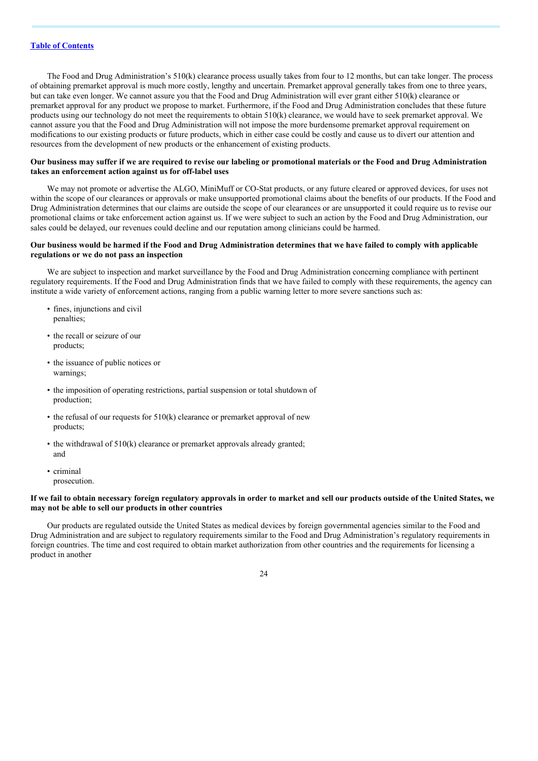The Food and Drug Administration's 510(k) clearance process usually takes from four to 12 months, but can take longer. The process of obtaining premarket approval is much more costly, lengthy and uncertain. Premarket approval generally takes from one to three years, but can take even longer. We cannot assure you that the Food and Drug Administration will ever grant either 510(k) clearance or premarket approval for any product we propose to market. Furthermore, if the Food and Drug Administration concludes that these future products using our technology do not meet the requirements to obtain 510(k) clearance, we would have to seek premarket approval. We cannot assure you that the Food and Drug Administration will not impose the more burdensome premarket approval requirement on modifications to our existing products or future products, which in either case could be costly and cause us to divert our attention and resources from the development of new products or the enhancement of existing products.

#### Our business may suffer if we are required to revise our labeling or promotional materials or the Food and Drug Administration **takes an enforcement action against us for off-label uses**

We may not promote or advertise the ALGO, MiniMuff or CO-Stat products, or any future cleared or approved devices, for uses not within the scope of our clearances or approvals or make unsupported promotional claims about the benefits of our products. If the Food and Drug Administration determines that our claims are outside the scope of our clearances or are unsupported it could require us to revise our promotional claims or take enforcement action against us. If we were subject to such an action by the Food and Drug Administration, our sales could be delayed, our revenues could decline and our reputation among clinicians could be harmed.

#### Our business would be harmed if the Food and Drug Administration determines that we have failed to comply with applicable **regulations or we do not pass an inspection**

We are subject to inspection and market surveillance by the Food and Drug Administration concerning compliance with pertinent regulatory requirements. If the Food and Drug Administration finds that we have failed to comply with these requirements, the agency can institute a wide variety of enforcement actions, ranging from a public warning letter to more severe sanctions such as:

- fines, injunctions and civil penalties;
- the recall or seizure of our products;
- the issuance of public notices or warnings;
- the imposition of operating restrictions, partial suspension or total shutdown of production;
- the refusal of our requests for 510(k) clearance or premarket approval of new products;
- the withdrawal of 510(k) clearance or premarket approvals already granted; and
- criminal prosecution.

## If we fail to obtain necessary foreign regulatory approvals in order to market and sell our products outside of the United States, we **may not be able to sell our products in other countries**

Our products are regulated outside the United States as medical devices by foreign governmental agencies similar to the Food and Drug Administration and are subject to regulatory requirements similar to the Food and Drug Administration's regulatory requirements in foreign countries. The time and cost required to obtain market authorization from other countries and the requirements for licensing a product in another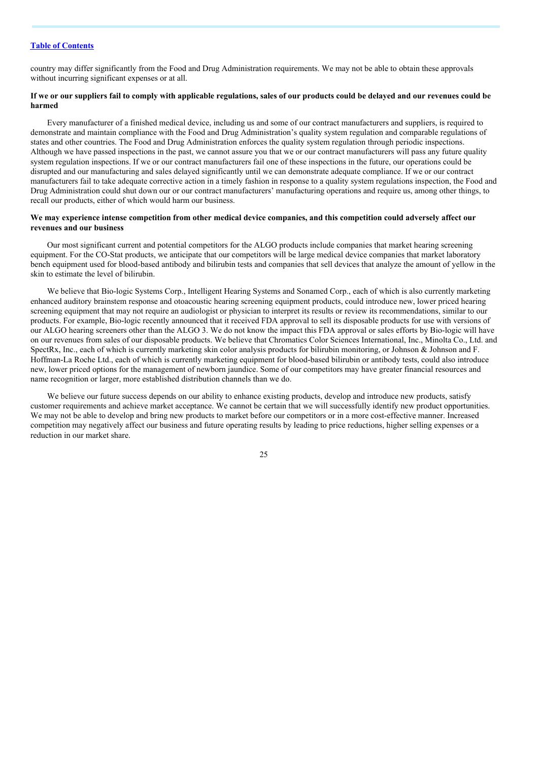country may differ significantly from the Food and Drug Administration requirements. We may not be able to obtain these approvals without incurring significant expenses or at all.

## If we or our suppliers fail to comply with applicable regulations, sales of our products could be delaved and our revenues could be **harmed**

Every manufacturer of a finished medical device, including us and some of our contract manufacturers and suppliers, is required to demonstrate and maintain compliance with the Food and Drug Administration's quality system regulation and comparable regulations of states and other countries. The Food and Drug Administration enforces the quality system regulation through periodic inspections. Although we have passed inspections in the past, we cannot assure you that we or our contract manufacturers will pass any future quality system regulation inspections. If we or our contract manufacturers fail one of these inspections in the future, our operations could be disrupted and our manufacturing and sales delayed significantly until we can demonstrate adequate compliance. If we or our contract manufacturers fail to take adequate corrective action in a timely fashion in response to a quality system regulations inspection, the Food and Drug Administration could shut down our or our contract manufacturers' manufacturing operations and require us, among other things, to recall our products, either of which would harm our business.

## We may experience intense competition from other medical device companies, and this competition could adversely affect our **revenues and our business**

Our most significant current and potential competitors for the ALGO products include companies that market hearing screening equipment. For the CO-Stat products, we anticipate that our competitors will be large medical device companies that market laboratory bench equipment used for blood-based antibody and bilirubin tests and companies that sell devices that analyze the amount of yellow in the skin to estimate the level of bilirubin.

We believe that Bio-logic Systems Corp., Intelligent Hearing Systems and Sonamed Corp., each of which is also currently marketing enhanced auditory brainstem response and otoacoustic hearing screening equipment products, could introduce new, lower priced hearing screening equipment that may not require an audiologist or physician to interpret its results or review its recommendations, similar to our products. For example, Bio-logic recently announced that it received FDA approval to sell its disposable products for use with versions of our ALGO hearing screeners other than the ALGO 3. We do not know the impact this FDA approval or sales efforts by Bio-logic will have on our revenues from sales of our disposable products. We believe that Chromatics Color Sciences International, Inc., Minolta Co., Ltd. and SpectRx, Inc., each of which is currently marketing skin color analysis products for bilirubin monitoring, or Johnson & Johnson and F. Hoffman-La Roche Ltd., each of which is currently marketing equipment for blood-based bilirubin or antibody tests, could also introduce new, lower priced options for the management of newborn jaundice. Some of our competitors may have greater financial resources and name recognition or larger, more established distribution channels than we do.

We believe our future success depends on our ability to enhance existing products, develop and introduce new products, satisfy customer requirements and achieve market acceptance. We cannot be certain that we will successfully identify new product opportunities. We may not be able to develop and bring new products to market before our competitors or in a more cost-effective manner. Increased competition may negatively affect our business and future operating results by leading to price reductions, higher selling expenses or a reduction in our market share.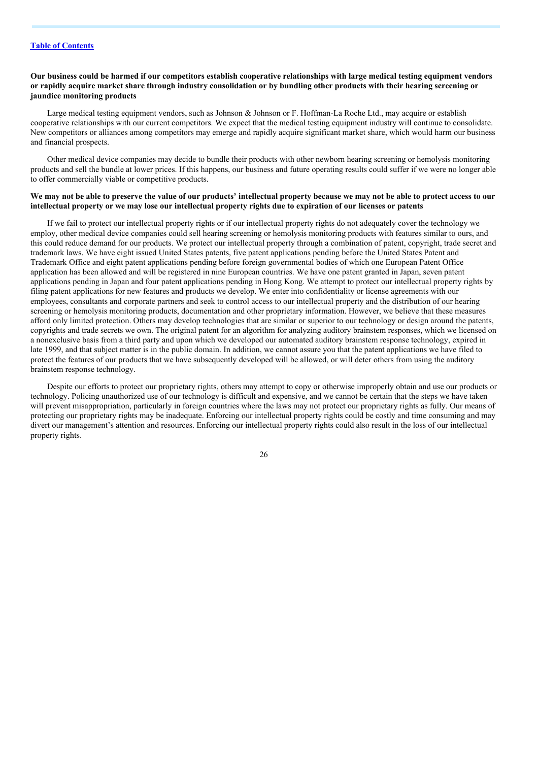## Our business could be harmed if our competitors establish cooperative relationships with large medical testing equipment vendors or rapidly acquire market share through industry consolidation or by bundling other products with their hearing screening or **jaundice monitoring products**

Large medical testing equipment vendors, such as Johnson & Johnson or F. Hoffman-La Roche Ltd., may acquire or establish cooperative relationships with our current competitors. We expect that the medical testing equipment industry will continue to consolidate. New competitors or alliances among competitors may emerge and rapidly acquire significant market share, which would harm our business and financial prospects.

Other medical device companies may decide to bundle their products with other newborn hearing screening or hemolysis monitoring products and sell the bundle at lower prices. If this happens, our business and future operating results could suffer if we were no longer able to offer commercially viable or competitive products.

## We may not be able to preserve the value of our products' intellectual property because we may not be able to protect access to our intellectual property or we may lose our intellectual property rights due to expiration of our licenses or patents

If we fail to protect our intellectual property rights or if our intellectual property rights do not adequately cover the technology we employ, other medical device companies could sell hearing screening or hemolysis monitoring products with features similar to ours, and this could reduce demand for our products. We protect our intellectual property through a combination of patent, copyright, trade secret and trademark laws. We have eight issued United States patents, five patent applications pending before the United States Patent and Trademark Office and eight patent applications pending before foreign governmental bodies of which one European Patent Office application has been allowed and will be registered in nine European countries. We have one patent granted in Japan, seven patent applications pending in Japan and four patent applications pending in Hong Kong. We attempt to protect our intellectual property rights by filing patent applications for new features and products we develop. We enter into confidentiality or license agreements with our employees, consultants and corporate partners and seek to control access to our intellectual property and the distribution of our hearing screening or hemolysis monitoring products, documentation and other proprietary information. However, we believe that these measures afford only limited protection. Others may develop technologies that are similar or superior to our technology or design around the patents, copyrights and trade secrets we own. The original patent for an algorithm for analyzing auditory brainstem responses, which we licensed on a nonexclusive basis from a third party and upon which we developed our automated auditory brainstem response technology, expired in late 1999, and that subject matter is in the public domain. In addition, we cannot assure you that the patent applications we have filed to protect the features of our products that we have subsequently developed will be allowed, or will deter others from using the auditory brainstem response technology.

Despite our efforts to protect our proprietary rights, others may attempt to copy or otherwise improperly obtain and use our products or technology. Policing unauthorized use of our technology is difficult and expensive, and we cannot be certain that the steps we have taken will prevent misappropriation, particularly in foreign countries where the laws may not protect our proprietary rights as fully. Our means of protecting our proprietary rights may be inadequate. Enforcing our intellectual property rights could be costly and time consuming and may divert our management's attention and resources. Enforcing our intellectual property rights could also result in the loss of our intellectual property rights.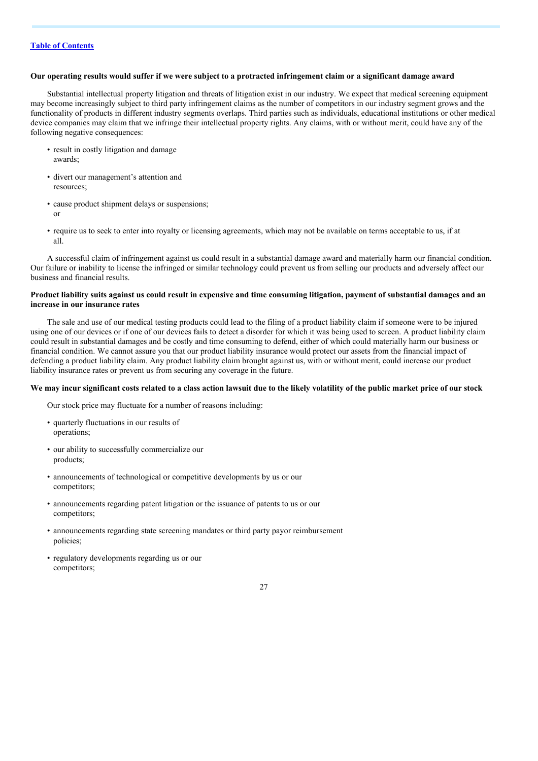### Our operating results would suffer if we were subject to a protracted infringement claim or a significant damage award

Substantial intellectual property litigation and threats of litigation exist in our industry. We expect that medical screening equipment may become increasingly subject to third party infringement claims as the number of competitors in our industry segment grows and the functionality of products in different industry segments overlaps. Third parties such as individuals, educational institutions or other medical device companies may claim that we infringe their intellectual property rights. Any claims, with or without merit, could have any of the following negative consequences:

- result in costly litigation and damage awards;
- divert our management's attention and resources;
- cause product shipment delays or suspensions; or
- require us to seek to enter into royalty or licensing agreements, which may not be available on terms acceptable to us, if at all.

A successful claim of infringement against us could result in a substantial damage award and materially harm our financial condition. Our failure or inability to license the infringed or similar technology could prevent us from selling our products and adversely affect our business and financial results.

## Product liability suits against us could result in expensive and time consuming litigation, payment of substantial damages and an **increase in our insurance rates**

The sale and use of our medical testing products could lead to the filing of a product liability claim if someone were to be injured using one of our devices or if one of our devices fails to detect a disorder for which it was being used to screen. A product liability claim could result in substantial damages and be costly and time consuming to defend, either of which could materially harm our business or financial condition. We cannot assure you that our product liability insurance would protect our assets from the financial impact of defending a product liability claim. Any product liability claim brought against us, with or without merit, could increase our product liability insurance rates or prevent us from securing any coverage in the future.

#### We may incur significant costs related to a class action lawsuit due to the likely volatility of the public market price of our stock

Our stock price may fluctuate for a number of reasons including:

- quarterly fluctuations in our results of operations;
- our ability to successfully commercialize our products;
- announcements of technological or competitive developments by us or our competitors;
- announcements regarding patent litigation or the issuance of patents to us or our competitors;
- announcements regarding state screening mandates or third party payor reimbursement policies;
- regulatory developments regarding us or our competitors;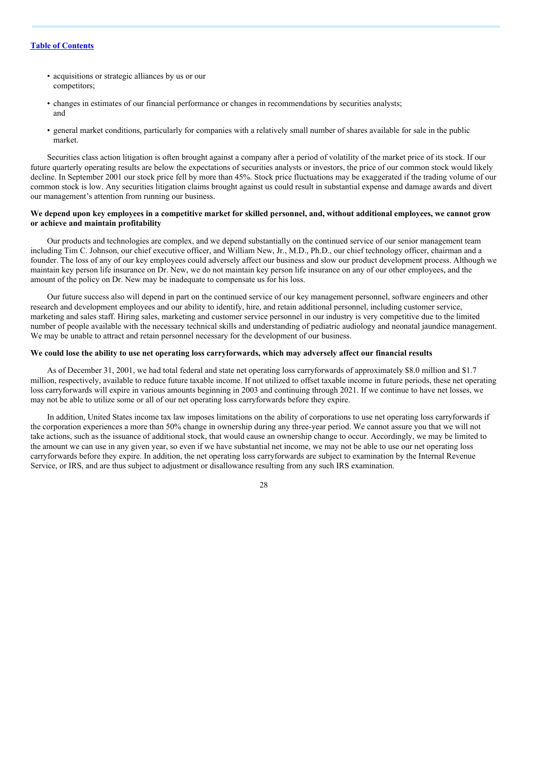- acquisitions or strategic alliances by us or our competitors;
- changes in estimates of our financial performance or changes in recommendations by securities analysts; and
- general market conditions, particularly for companies with a relatively small number of shares available for sale in the public market.

Securities class action litigation is often brought against a company after a period of volatility of the market price of its stock. If our future quarterly operating results are below the expectations of securities analysts or investors, the price of our common stock would likely decline. In September 2001 our stock price fell by more than 45%. Stock price fluctuations may be exaggerated if the trading volume of our common stock is low. Any securities litigation claims brought against us could result in substantial expense and damage awards and divert our management's attention from running our business.

## We depend upon key employees in a competitive market for skilled personnel, and, without additional employees, we cannot grow **or achieve and maintain profitability**

Our products and technologies are complex, and we depend substantially on the continued service of our senior management team including Tim C. Johnson, our chief executive officer, and William New, Jr., M.D., Ph.D., our chief technology officer, chairman and a founder. The loss of any of our key employees could adversely affect our business and slow our product development process. Although we maintain key person life insurance on Dr. New, we do not maintain key person life insurance on any of our other employees, and the amount of the policy on Dr. New may be inadequate to compensate us for his loss.

Our future success also will depend in part on the continued service of our key management personnel, software engineers and other research and development employees and our ability to identify, hire, and retain additional personnel, including customer service, marketing and sales staff. Hiring sales, marketing and customer service personnel in our industry is very competitive due to the limited number of people available with the necessary technical skills and understanding of pediatric audiology and neonatal jaundice management. We may be unable to attract and retain personnel necessary for the development of our business.

## We could lose the ability to use net operating loss carryforwards, which may adversely affect our financial results

As of December 31, 2001, we had total federal and state net operating loss carryforwards of approximately \$8.0 million and \$1.7 million, respectively, available to reduce future taxable income. If not utilized to offset taxable income in future periods, these net operating loss carryforwards will expire in various amounts beginning in 2003 and continuing through 2021. If we continue to have net losses, we may not be able to utilize some or all of our net operating loss carryforwards before they expire.

In addition, United States income tax law imposes limitations on the ability of corporations to use net operating loss carryforwards if the corporation experiences a more than 50% change in ownership during any three-year period. We cannot assure you that we will not take actions, such as the issuance of additional stock, that would cause an ownership change to occur. Accordingly, we may be limited to the amount we can use in any given year, so even if we have substantial net income, we may not be able to use our net operating loss carryforwards before they expire. In addition, the net operating loss carryforwards are subject to examination by the Internal Revenue Service, or IRS, and are thus subject to adjustment or disallowance resulting from any such IRS examination.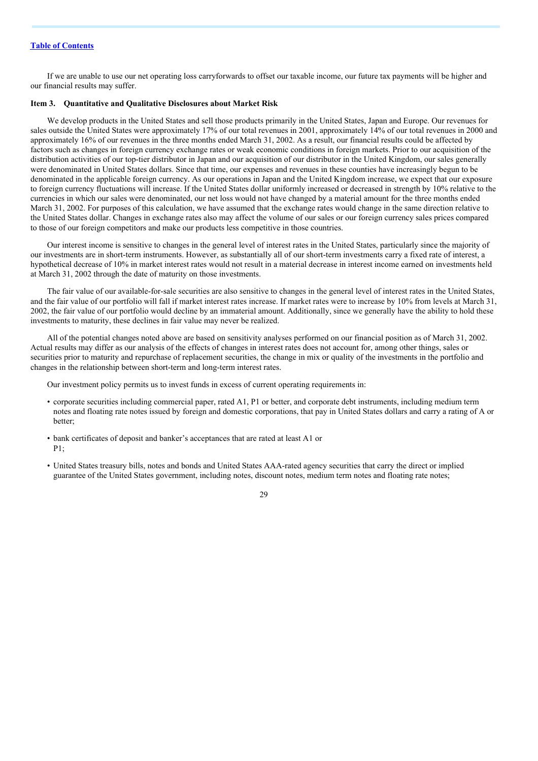If we are unable to use our net operating loss carryforwards to offset our taxable income, our future tax payments will be higher and our financial results may suffer.

#### **Item 3. Quantitative and Qualitative Disclosures about Market Risk**

We develop products in the United States and sell those products primarily in the United States, Japan and Europe. Our revenues for sales outside the United States were approximately 17% of our total revenues in 2001, approximately 14% of our total revenues in 2000 and approximately 16% of our revenues in the three months ended March 31, 2002. As a result, our financial results could be affected by factors such as changes in foreign currency exchange rates or weak economic conditions in foreign markets. Prior to our acquisition of the distribution activities of our top-tier distributor in Japan and our acquisition of our distributor in the United Kingdom, our sales generally were denominated in United States dollars. Since that time, our expenses and revenues in these counties have increasingly begun to be denominated in the applicable foreign currency. As our operations in Japan and the United Kingdom increase, we expect that our exposure to foreign currency fluctuations will increase. If the United States dollar uniformly increased or decreased in strength by 10% relative to the currencies in which our sales were denominated, our net loss would not have changed by a material amount for the three months ended March 31, 2002. For purposes of this calculation, we have assumed that the exchange rates would change in the same direction relative to the United States dollar. Changes in exchange rates also may affect the volume of our sales or our foreign currency sales prices compared to those of our foreign competitors and make our products less competitive in those countries.

Our interest income is sensitive to changes in the general level of interest rates in the United States, particularly since the majority of our investments are in short-term instruments. However, as substantially all of our short-term investments carry a fixed rate of interest, a hypothetical decrease of 10% in market interest rates would not result in a material decrease in interest income earned on investments held at March 31, 2002 through the date of maturity on those investments.

The fair value of our available-for-sale securities are also sensitive to changes in the general level of interest rates in the United States, and the fair value of our portfolio will fall if market interest rates increase. If market rates were to increase by 10% from levels at March 31, 2002, the fair value of our portfolio would decline by an immaterial amount. Additionally, since we generally have the ability to hold these investments to maturity, these declines in fair value may never be realized.

All of the potential changes noted above are based on sensitivity analyses performed on our financial position as of March 31, 2002. Actual results may differ as our analysis of the effects of changes in interest rates does not account for, among other things, sales or securities prior to maturity and repurchase of replacement securities, the change in mix or quality of the investments in the portfolio and changes in the relationship between short-term and long-term interest rates.

Our investment policy permits us to invest funds in excess of current operating requirements in:

- corporate securities including commercial paper, rated A1, P1 or better, and corporate debt instruments, including medium term notes and floating rate notes issued by foreign and domestic corporations, that pay in United States dollars and carry a rating of A or better;
- bank certificates of deposit and banker's acceptances that are rated at least A1 or P1;
- United States treasury bills, notes and bonds and United States AAA-rated agency securities that carry the direct or implied guarantee of the United States government, including notes, discount notes, medium term notes and floating rate notes;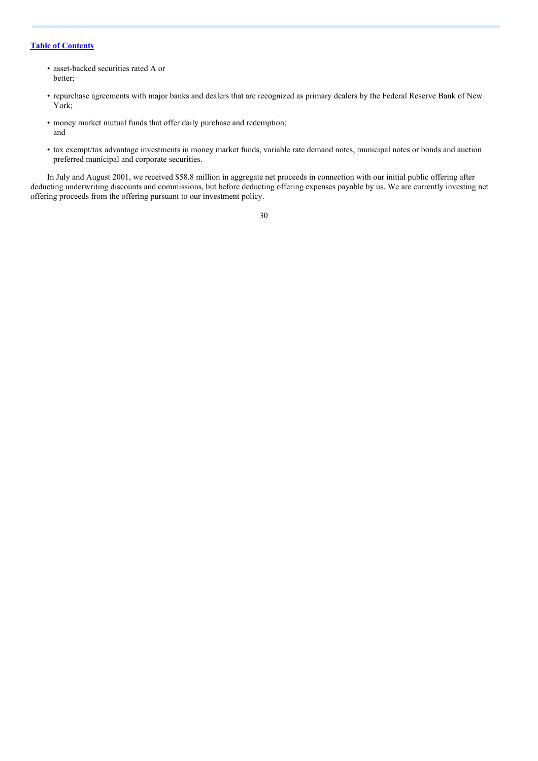- asset-backed securities rated A or better;
- repurchase agreements with major banks and dealers that are recognized as primary dealers by the Federal Reserve Bank of New York;
- money market mutual funds that offer daily purchase and redemption; and
- tax exempt/tax advantage investments in money market funds, variable rate demand notes, municipal notes or bonds and auction preferred municipal and corporate securities.

In July and August 2001, we received \$58.8 million in aggregate net proceeds in connection with our initial public offering after deducting underwriting discounts and commissions, but before deducting offering expenses payable by us. We are currently investing net offering proceeds from the offering pursuant to our investment policy.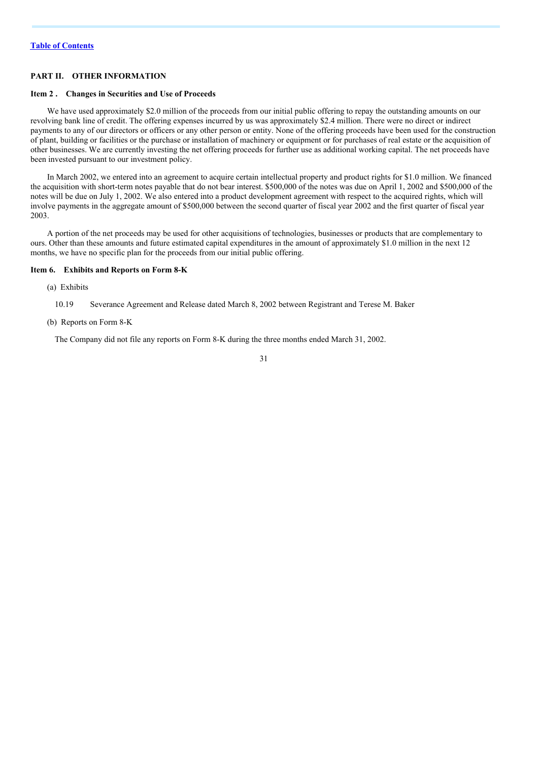## **PART II. OTHER INFORMATION**

## <span id="page-31-0"></span>**Item 2 . Changes in Securities and Use of Proceeds**

We have used approximately \$2.0 million of the proceeds from our initial public offering to repay the outstanding amounts on our revolving bank line of credit. The offering expenses incurred by us was approximately \$2.4 million. There were no direct or indirect payments to any of our directors or officers or any other person or entity. None of the offering proceeds have been used for the construction of plant, building or facilities or the purchase or installation of machinery or equipment or for purchases of real estate or the acquisition of other businesses. We are currently investing the net offering proceeds for further use as additional working capital. The net proceeds have been invested pursuant to our investment policy.

In March 2002, we entered into an agreement to acquire certain intellectual property and product rights for \$1.0 million. We financed the acquisition with short-term notes payable that do not bear interest. \$500,000 of the notes was due on April 1, 2002 and \$500,000 of the notes will be due on July 1, 2002. We also entered into a product development agreement with respect to the acquired rights, which will involve payments in the aggregate amount of \$500,000 between the second quarter of fiscal year 2002 and the first quarter of fiscal year 2003.

A portion of the net proceeds may be used for other acquisitions of technologies, businesses or products that are complementary to ours. Other than these amounts and future estimated capital expenditures in the amount of approximately \$1.0 million in the next 12 months, we have no specific plan for the proceeds from our initial public offering.

### **Item 6. Exhibits and Reports on Form 8-K**

- (a) Exhibits
	- 10.19 Severance Agreement and Release dated March 8, 2002 between Registrant and Terese M. Baker
- (b) Reports on Form 8-K

The Company did not file any reports on Form 8-K during the three months ended March 31, 2002.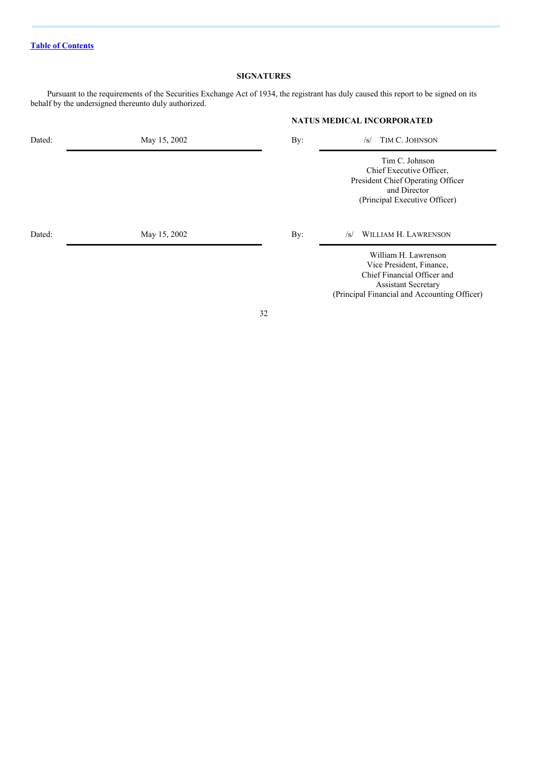# **SIGNATURES**

**NATUS MEDICAL INCORPORATED**

Pursuant to the requirements of the Securities Exchange Act of 1934, the registrant has duly caused this report to be signed on its behalf by the undersigned thereunto duly authorized.

| Dated: | May 15, 2002 | By: | TIM C. JOHNSON<br>$\sqrt{s}$                                                                                                                                  |
|--------|--------------|-----|---------------------------------------------------------------------------------------------------------------------------------------------------------------|
|        |              |     | Tim C. Johnson<br>Chief Executive Officer,<br>President Chief Operating Officer<br>and Director<br>(Principal Executive Officer)                              |
| Dated: | May 15, 2002 | By: | WILLIAM H. LAWRENSON<br>$\sqrt{s}$                                                                                                                            |
|        |              |     | William H. Lawrenson<br>Vice President, Finance,<br>Chief Financial Officer and<br><b>Assistant Secretary</b><br>(Principal Financial and Accounting Officer) |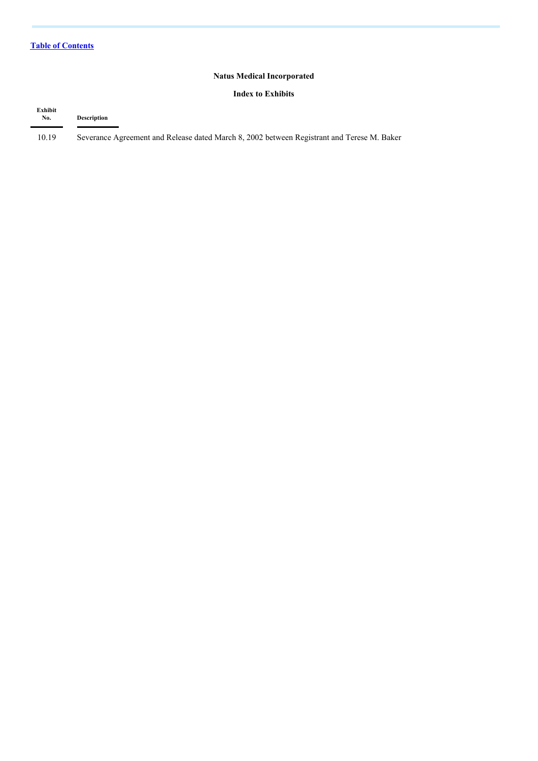# **Natus Medical Incorporated**

## **Index to Exhibits**

| Exhibit<br>No. | <b>Description</b>                                                                         |
|----------------|--------------------------------------------------------------------------------------------|
| 10.19          | Severance Agreement and Release dated March 8, 2002 between Registrant and Terese M. Baker |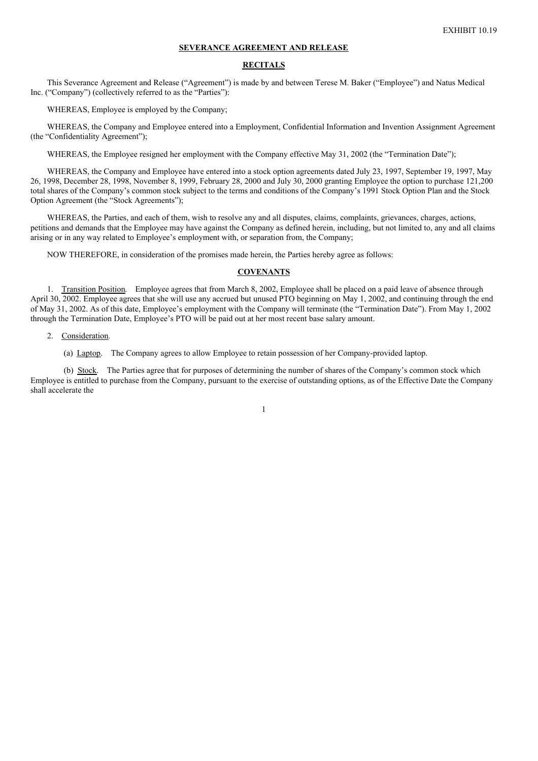#### **SEVERANCE AGREEMENT AND RELEASE**

## **RECITALS**

This Severance Agreement and Release ("Agreement") is made by and between Terese M. Baker ("Employee") and Natus Medical Inc. ("Company") (collectively referred to as the "Parties"):

WHEREAS, Employee is employed by the Company;

WHEREAS, the Company and Employee entered into a Employment, Confidential Information and Invention Assignment Agreement (the "Confidentiality Agreement");

WHEREAS, the Employee resigned her employment with the Company effective May 31, 2002 (the "Termination Date");

WHEREAS, the Company and Employee have entered into a stock option agreements dated July 23, 1997, September 19, 1997, May 26, 1998, December 28, 1998, November 8, 1999, February 28, 2000 and July 30, 2000 granting Employee the option to purchase 121,200 total shares of the Company's common stock subject to the terms and conditions of the Company's 1991 Stock Option Plan and the Stock Option Agreement (the "Stock Agreements");

WHEREAS, the Parties, and each of them, wish to resolve any and all disputes, claims, complaints, grievances, charges, actions, petitions and demands that the Employee may have against the Company as defined herein, including, but not limited to, any and all claims arising or in any way related to Employee's employment with, or separation from, the Company;

NOW THEREFORE, in consideration of the promises made herein, the Parties hereby agree as follows:

## **COVENANTS**

1. Transition Position. Employee agrees that from March 8, 2002, Employee shall be placed on a paid leave of absence through April 30, 2002. Employee agrees that she will use any accrued but unused PTO beginning on May 1, 2002, and continuing through the end of May 31, 2002. As of this date, Employee's employment with the Company will terminate (the "Termination Date"). From May 1, 2002 through the Termination Date, Employee's PTO will be paid out at her most recent base salary amount.

#### 2. Consideration.

(a) Laptop. The Company agrees to allow Employee to retain possession of her Company-provided laptop.

(b) Stock. The Parties agree that for purposes of determining the number of shares of the Company's common stock which Employee is entitled to purchase from the Company, pursuant to the exercise of outstanding options, as of the Effective Date the Company shall accelerate the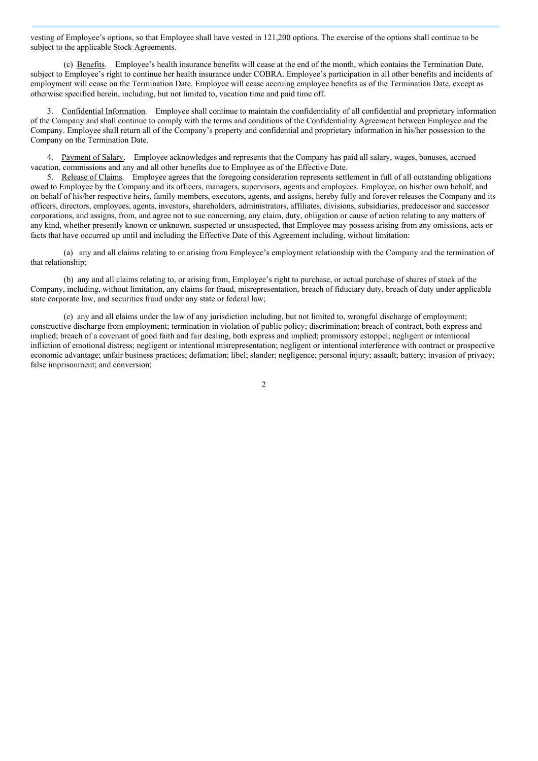vesting of Employee's options, so that Employee shall have vested in 121,200 options. The exercise of the options shall continue to be subject to the applicable Stock Agreements.

(c) Benefits. Employee's health insurance benefits will cease at the end of the month, which contains the Termination Date, subject to Employee's right to continue her health insurance under COBRA. Employee's participation in all other benefits and incidents of employment will cease on the Termination Date. Employee will cease accruing employee benefits as of the Termination Date, except as otherwise specified herein, including, but not limited to, vacation time and paid time off.

3. Confidential Information. Employee shall continue to maintain the confidentiality of all confidential and proprietary information of the Company and shall continue to comply with the terms and conditions of the Confidentiality Agreement between Employee and the Company. Employee shall return all of the Company's property and confidential and proprietary information in his/her possession to the Company on the Termination Date.

4. Payment of Salary. Employee acknowledges and represents that the Company has paid all salary, wages, bonuses, accrued vacation, commissions and any and all other benefits due to Employee as of the Effective Date.

5. Release of Claims. Employee agrees that the foregoing consideration represents settlement in full of all outstanding obligations owed to Employee by the Company and its officers, managers, supervisors, agents and employees. Employee, on his/her own behalf, and on behalf of his/her respective heirs, family members, executors, agents, and assigns, hereby fully and forever releases the Company and its officers, directors, employees, agents, investors, shareholders, administrators, affiliates, divisions, subsidiaries, predecessor and successor corporations, and assigns, from, and agree not to sue concerning, any claim, duty, obligation or cause of action relating to any matters of any kind, whether presently known or unknown, suspected or unsuspected, that Employee may possess arising from any omissions, acts or facts that have occurred up until and including the Effective Date of this Agreement including, without limitation:

(a) any and all claims relating to or arising from Employee's employment relationship with the Company and the termination of that relationship;

(b) any and all claims relating to, or arising from, Employee's right to purchase, or actual purchase of shares of stock of the Company, including, without limitation, any claims for fraud, misrepresentation, breach of fiduciary duty, breach of duty under applicable state corporate law, and securities fraud under any state or federal law;

(c) any and all claims under the law of any jurisdiction including, but not limited to, wrongful discharge of employment; constructive discharge from employment; termination in violation of public policy; discrimination; breach of contract, both express and implied; breach of a covenant of good faith and fair dealing, both express and implied; promissory estoppel; negligent or intentional infliction of emotional distress; negligent or intentional misrepresentation; negligent or intentional interference with contract or prospective economic advantage; unfair business practices; defamation; libel; slander; negligence; personal injury; assault; battery; invasion of privacy; false imprisonment; and conversion;

 $\overline{2}$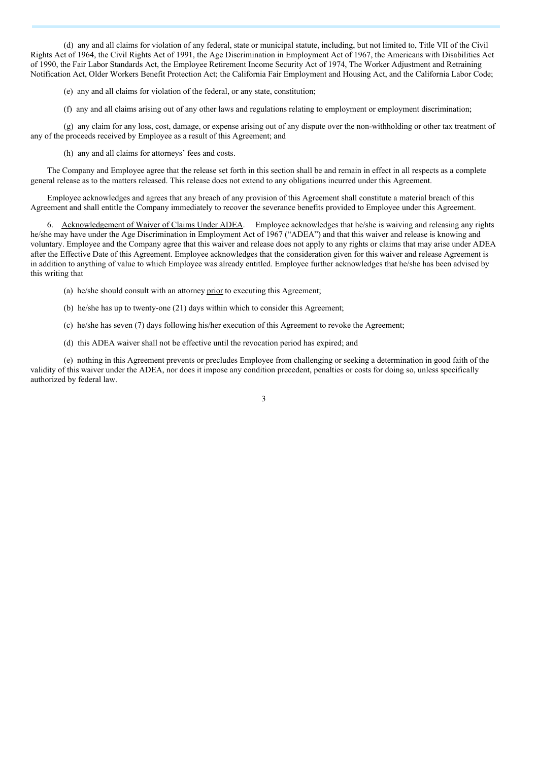(d) any and all claims for violation of any federal, state or municipal statute, including, but not limited to, Title VII of the Civil Rights Act of 1964, the Civil Rights Act of 1991, the Age Discrimination in Employment Act of 1967, the Americans with Disabilities Act of 1990, the Fair Labor Standards Act, the Employee Retirement Income Security Act of 1974, The Worker Adjustment and Retraining Notification Act, Older Workers Benefit Protection Act; the California Fair Employment and Housing Act, and the California Labor Code;

(e) any and all claims for violation of the federal, or any state, constitution;

(f) any and all claims arising out of any other laws and regulations relating to employment or employment discrimination;

(g) any claim for any loss, cost, damage, or expense arising out of any dispute over the non-withholding or other tax treatment of any of the proceeds received by Employee as a result of this Agreement; and

(h) any and all claims for attorneys' fees and costs.

The Company and Employee agree that the release set forth in this section shall be and remain in effect in all respects as a complete general release as to the matters released. This release does not extend to any obligations incurred under this Agreement.

Employee acknowledges and agrees that any breach of any provision of this Agreement shall constitute a material breach of this Agreement and shall entitle the Company immediately to recover the severance benefits provided to Employee under this Agreement.

6. Acknowledgement of Waiver of Claims Under ADEA. Employee acknowledges that he/she is waiving and releasing any rights he/she may have under the Age Discrimination in Employment Act of 1967 ("ADEA") and that this waiver and release is knowing and voluntary. Employee and the Company agree that this waiver and release does not apply to any rights or claims that may arise under ADEA after the Effective Date of this Agreement. Employee acknowledges that the consideration given for this waiver and release Agreement is in addition to anything of value to which Employee was already entitled. Employee further acknowledges that he/she has been advised by this writing that

- (a) he/she should consult with an attorney prior to executing this Agreement;
- (b) he/she has up to twenty-one (21) days within which to consider this Agreement;
- (c) he/she has seven (7) days following his/her execution of this Agreement to revoke the Agreement;
- (d) this ADEA waiver shall not be effective until the revocation period has expired; and

(e) nothing in this Agreement prevents or precludes Employee from challenging or seeking a determination in good faith of the validity of this waiver under the ADEA, nor does it impose any condition precedent, penalties or costs for doing so, unless specifically authorized by federal law.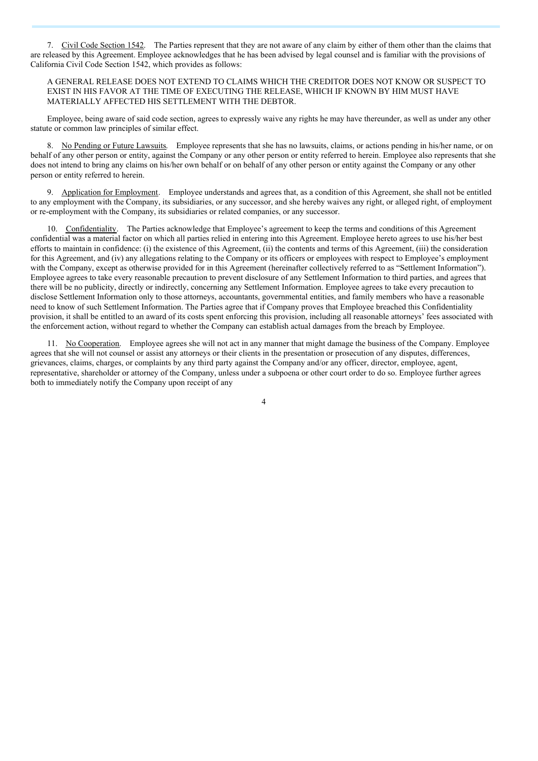7. Civil Code Section 1542. The Parties represent that they are not aware of any claim by either of them other than the claims that are released by this Agreement. Employee acknowledges that he has been advised by legal counsel and is familiar with the provisions of California Civil Code Section 1542, which provides as follows:

## A GENERAL RELEASE DOES NOT EXTEND TO CLAIMS WHICH THE CREDITOR DOES NOT KNOW OR SUSPECT TO EXIST IN HIS FAVOR AT THE TIME OF EXECUTING THE RELEASE, WHICH IF KNOWN BY HIM MUST HAVE MATERIALLY AFFECTED HIS SETTLEMENT WITH THE DEBTOR.

Employee, being aware of said code section, agrees to expressly waive any rights he may have thereunder, as well as under any other statute or common law principles of similar effect.

8. No Pending or Future Lawsuits. Employee represents that she has no lawsuits, claims, or actions pending in his/her name, or on behalf of any other person or entity, against the Company or any other person or entity referred to herein. Employee also represents that she does not intend to bring any claims on his/her own behalf or on behalf of any other person or entity against the Company or any other person or entity referred to herein.

9. Application for Employment. Employee understands and agrees that, as a condition of this Agreement, she shall not be entitled to any employment with the Company, its subsidiaries, or any successor, and she hereby waives any right, or alleged right, of employment or re-employment with the Company, its subsidiaries or related companies, or any successor.

10. Confidentiality. The Parties acknowledge that Employee's agreement to keep the terms and conditions of this Agreement confidential was a material factor on which all parties relied in entering into this Agreement. Employee hereto agrees to use his/her best efforts to maintain in confidence: (i) the existence of this Agreement, (ii) the contents and terms of this Agreement, (iii) the consideration for this Agreement, and (iv) any allegations relating to the Company or its officers or employees with respect to Employee's employment with the Company, except as otherwise provided for in this Agreement (hereinafter collectively referred to as "Settlement Information"). Employee agrees to take every reasonable precaution to prevent disclosure of any Settlement Information to third parties, and agrees that there will be no publicity, directly or indirectly, concerning any Settlement Information. Employee agrees to take every precaution to disclose Settlement Information only to those attorneys, accountants, governmental entities, and family members who have a reasonable need to know of such Settlement Information. The Parties agree that if Company proves that Employee breached this Confidentiality provision, it shall be entitled to an award of its costs spent enforcing this provision, including all reasonable attorneys' fees associated with the enforcement action, without regard to whether the Company can establish actual damages from the breach by Employee.

11. No Cooperation. Employee agrees she will not act in any manner that might damage the business of the Company. Employee agrees that she will not counsel or assist any attorneys or their clients in the presentation or prosecution of any disputes, differences, grievances, claims, charges, or complaints by any third party against the Company and/or any officer, director, employee, agent, representative, shareholder or attorney of the Company, unless under a subpoena or other court order to do so. Employee further agrees both to immediately notify the Company upon receipt of any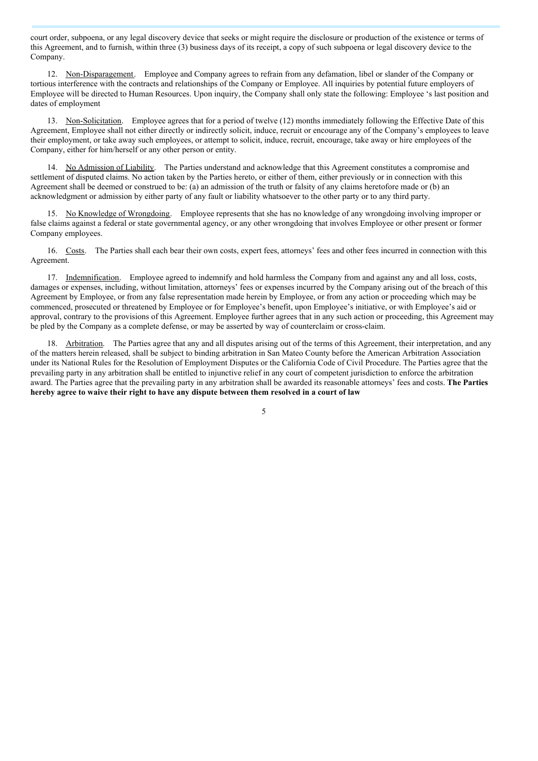court order, subpoena, or any legal discovery device that seeks or might require the disclosure or production of the existence or terms of this Agreement, and to furnish, within three (3) business days of its receipt, a copy of such subpoena or legal discovery device to the Company.

12. Non-Disparagement. Employee and Company agrees to refrain from any defamation, libel or slander of the Company or tortious interference with the contracts and relationships of the Company or Employee. All inquiries by potential future employers of Employee will be directed to Human Resources. Upon inquiry, the Company shall only state the following: Employee 's last position and dates of employment

13. Non-Solicitation. Employee agrees that for a period of twelve (12) months immediately following the Effective Date of this Agreement, Employee shall not either directly or indirectly solicit, induce, recruit or encourage any of the Company's employees to leave their employment, or take away such employees, or attempt to solicit, induce, recruit, encourage, take away or hire employees of the Company, either for him/herself or any other person or entity.

14. No Admission of Liability. The Parties understand and acknowledge that this Agreement constitutes a compromise and settlement of disputed claims. No action taken by the Parties hereto, or either of them, either previously or in connection with this Agreement shall be deemed or construed to be: (a) an admission of the truth or falsity of any claims heretofore made or (b) an acknowledgment or admission by either party of any fault or liability whatsoever to the other party or to any third party.

15. No Knowledge of Wrongdoing. Employee represents that she has no knowledge of any wrongdoing involving improper or false claims against a federal or state governmental agency, or any other wrongdoing that involves Employee or other present or former Company employees.

16. Costs. The Parties shall each bear their own costs, expert fees, attorneys' fees and other fees incurred in connection with this Agreement.

17. Indemnification. Employee agreed to indemnify and hold harmless the Company from and against any and all loss, costs, damages or expenses, including, without limitation, attorneys' fees or expenses incurred by the Company arising out of the breach of this Agreement by Employee, or from any false representation made herein by Employee, or from any action or proceeding which may be commenced, prosecuted or threatened by Employee or for Employee's benefit, upon Employee's initiative, or with Employee's aid or approval, contrary to the provisions of this Agreement. Employee further agrees that in any such action or proceeding, this Agreement may be pled by the Company as a complete defense, or may be asserted by way of counterclaim or cross-claim.

18. Arbitration. The Parties agree that any and all disputes arising out of the terms of this Agreement, their interpretation, and any of the matters herein released, shall be subject to binding arbitration in San Mateo County before the American Arbitration Association under its National Rules for the Resolution of Employment Disputes or the California Code of Civil Procedure. The Parties agree that the prevailing party in any arbitration shall be entitled to injunctive relief in any court of competent jurisdiction to enforce the arbitration award. The Parties agree that the prevailing party in any arbitration shall be awarded its reasonable attorneys' fees and costs. **The Parties hereby agree to waive their right to have any dispute between them resolved in a court of law**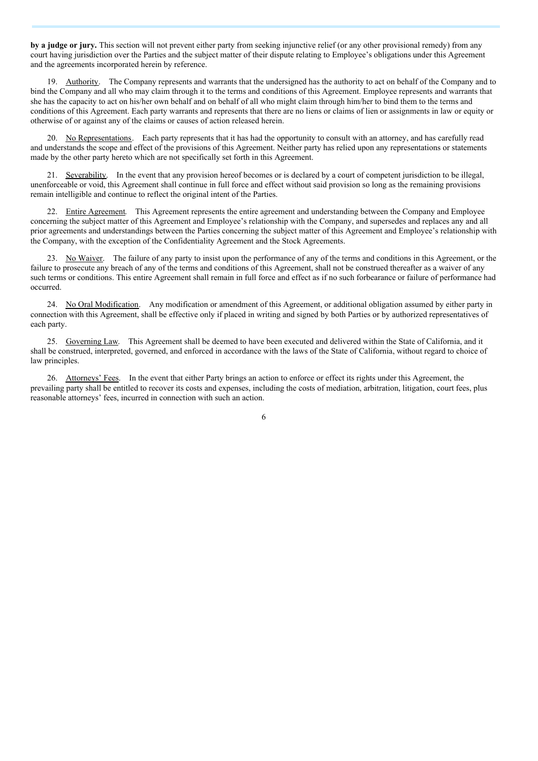**by a judge or jury.** This section will not prevent either party from seeking injunctive relief (or any other provisional remedy) from any court having jurisdiction over the Parties and the subject matter of their dispute relating to Employee's obligations under this Agreement and the agreements incorporated herein by reference.

19. Authority. The Company represents and warrants that the undersigned has the authority to act on behalf of the Company and to bind the Company and all who may claim through it to the terms and conditions of this Agreement. Employee represents and warrants that she has the capacity to act on his/her own behalf and on behalf of all who might claim through him/her to bind them to the terms and conditions of this Agreement. Each party warrants and represents that there are no liens or claims of lien or assignments in law or equity or otherwise of or against any of the claims or causes of action released herein.

20. No Representations. Each party represents that it has had the opportunity to consult with an attorney, and has carefully read and understands the scope and effect of the provisions of this Agreement. Neither party has relied upon any representations or statements made by the other party hereto which are not specifically set forth in this Agreement.

21. Severability. In the event that any provision hereof becomes or is declared by a court of competent jurisdiction to be illegal, unenforceable or void, this Agreement shall continue in full force and effect without said provision so long as the remaining provisions remain intelligible and continue to reflect the original intent of the Parties.

22. Entire Agreement. This Agreement represents the entire agreement and understanding between the Company and Employee concerning the subject matter of this Agreement and Employee's relationship with the Company, and supersedes and replaces any and all prior agreements and understandings between the Parties concerning the subject matter of this Agreement and Employee's relationship with the Company, with the exception of the Confidentiality Agreement and the Stock Agreements.

23. No Waiver. The failure of any party to insist upon the performance of any of the terms and conditions in this Agreement, or the failure to prosecute any breach of any of the terms and conditions of this Agreement, shall not be construed thereafter as a waiver of any such terms or conditions. This entire Agreement shall remain in full force and effect as if no such forbearance or failure of performance had occurred.

24. No Oral Modification. Any modification or amendment of this Agreement, or additional obligation assumed by either party in connection with this Agreement, shall be effective only if placed in writing and signed by both Parties or by authorized representatives of each party.

25. Governing Law. This Agreement shall be deemed to have been executed and delivered within the State of California, and it shall be construed, interpreted, governed, and enforced in accordance with the laws of the State of California, without regard to choice of law principles.

26. Attorneys' Fees. In the event that either Party brings an action to enforce or effect its rights under this Agreement, the prevailing party shall be entitled to recover its costs and expenses, including the costs of mediation, arbitration, litigation, court fees, plus reasonable attorneys' fees, incurred in connection with such an action.